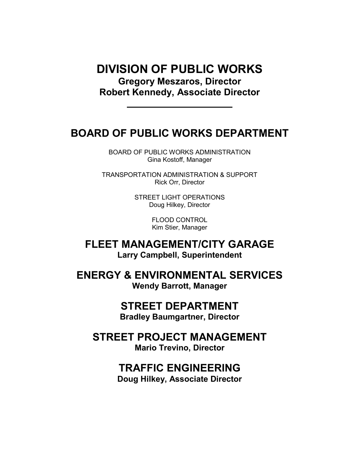# DIVISION OF PUBLIC WORKS Gregory Meszaros, Director Robert Kennedy, Associate Director

# BOARD OF PUBLIC WORKS DEPARTMENT

BOARD OF PUBLIC WORKS ADMINISTRATION Gina Kostoff, Manager

TRANSPORTATION ADMINISTRATION & SUPPORT Rick Orr, Director

> STREET LIGHT OPERATIONS Doug Hilkey, Director

> > FLOOD CONTROL Kim Stier, Manager

FLEET MANAGEMENT/CITY GARAGE Larry Campbell, Superintendent

ENERGY & ENVIRONMENTAL SERVICES Wendy Barrott, Manager

# STREET DEPARTMENT

Bradley Baumgartner, Director

STREET PROJECT MANAGEMENT Mario Trevino, Director

# TRAFFIC ENGINEERING

Doug Hilkey, Associate Director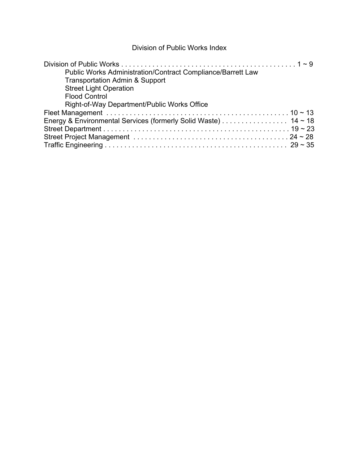### Division of Public Works Index

| Public Works Administration/Contract Compliance/Barrett Law<br><b>Transportation Admin &amp; Support</b><br><b>Street Light Operation</b><br><b>Flood Control</b><br>Right-of-Way Department/Public Works Office |  |
|------------------------------------------------------------------------------------------------------------------------------------------------------------------------------------------------------------------|--|
|                                                                                                                                                                                                                  |  |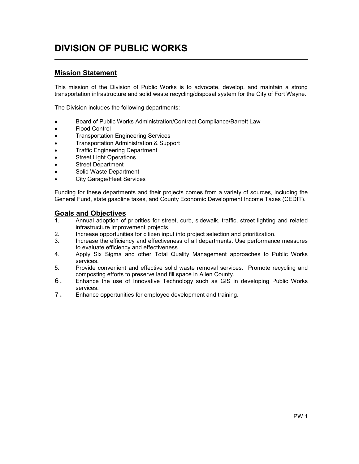# DIVISION OF PUBLIC WORKS

### Mission Statement

l,

This mission of the Division of Public Works is to advocate, develop, and maintain a strong transportation infrastructure and solid waste recycling/disposal system for the City of Fort Wayne.

The Division includes the following departments:

- Board of Public Works Administration/Contract Compliance/Barrett Law
- Flood Control
- Transportation Engineering Services
- Transportation Administration & Support
- Traffic Engineering Department
- **Street Light Operations**
- **Street Department**
- Solid Waste Department
- City Garage/Fleet Services

Funding for these departments and their projects comes from a variety of sources, including the General Fund, state gasoline taxes, and County Economic Development Income Taxes (CEDIT).

#### Goals and Objectives

- 1. Annual adoption of priorities for street, curb, sidewalk, traffic, street lighting and related infrastructure improvement projects.
- 2. Increase opportunities for citizen input into project selection and prioritization.
- 3. Increase the efficiency and effectiveness of all departments. Use performance measures to evaluate efficiency and effectiveness.
- 4. Apply Six Sigma and other Total Quality Management approaches to Public Works services.
- 5. Provide convenient and effective solid waste removal services. Promote recycling and composting efforts to preserve land fill space in Allen County.
- 6. Enhance the use of Innovative Technology such as GIS in developing Public Works services.
- 7. Enhance opportunities for employee development and training.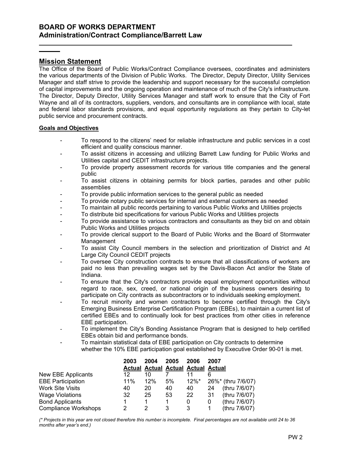### Mission Statement

l

The Office of the Board of Public Works/Contract Compliance oversees, coordinates and administers the various departments of the Division of Public Works. The Director, Deputy Director, Utility Services Manager and staff strive to provide the leadership and support necessary for the successful completion of capital improvements and the ongoing operation and maintenance of much of the City's infrastructure. The Director, Deputy Director, Utility Services Manager and staff work to ensure that the City of Fort Wayne and all of its contractors, suppliers, vendors, and consultants are in compliance with local, state and federal labor standards provisions, and equal opportunity regulations as they pertain to City-let public service and procurement contracts.

#### Goals and Objectives

- To respond to the citizens' need for reliable infrastructure and public services in a cost efficient and quality conscious manner.
- To assist citizens in accessing and utilizing Barrett Law funding for Public Works and Utilities capital and CEDIT infrastructure projects.
- To provide property assessment records for various title companies and the general public
- To assist citizens in obtaining permits for block parties, parades and other public assemblies
- To provide public information services to the general public as needed
- To provide notary public services for internal and external customers as needed
- To maintain all public records pertaining to various Public Works and Utilities projects
- To distribute bid specifications for various Public Works and Utilities projects
- To provide assistance to various contractors and consultants as they bid on and obtain Public Works and Utilities projects
- To provide clerical support to the Board of Public Works and the Board of Stormwater Management
- To assist City Council members in the selection and prioritization of District and At Large City Council CEDIT projects
- To oversee City construction contracts to ensure that all classifications of workers are paid no less than prevailing wages set by the Davis-Bacon Act and/or the State of Indiana.
- To ensure that the City's contractors provide equal employment opportunities without regard to race, sex, creed, or national origin of the business owners desiring to participate on City contracts as subcontractors or to individuals seeking employment.
- To recruit minority and women contractors to become certified through the City's Emerging Business Enterprise Certification Program (EBEs), to maintain a current list of certified EBEs and to continually look for best practices from other cities in reference EBE participation.
- To implement the City's Bonding Assistance Program that is designed to help certified EBEs obtain bid and performance bonds.
- To maintain statistical data of EBE participation on City contracts to determine whether the 10% EBE participation goal established by Executive Order 90-01 is met.

|                             | 2003 | 2004                                      | 2005 | 2006 | 2007 |                    |
|-----------------------------|------|-------------------------------------------|------|------|------|--------------------|
|                             |      | <b>Actual Actual Actual Actual Actual</b> |      |      |      |                    |
| New EBE Applicants          | 12   | 10                                        |      | 11   | 6    |                    |
| <b>EBE Participation</b>    | 11%  | 12%                                       | 5%   | 12%* |      | 26%* (thru 7/6/07) |
| <b>Work Site Visits</b>     | 40   | 20                                        | 40   | 40   | 24   | (thru 7/6/07)      |
| <b>Wage Violations</b>      | 32   | 25                                        | 53   | 22   | 31   | (thru 7/6/07)      |
| <b>Bond Applicants</b>      |      |                                           |      | 0    | 0    | (thru 7/6/07)      |
| <b>Compliance Workshops</b> | 2    |                                           | 3    | 3    | 1    | (thru 7/6/07)      |

(\* Projects in this year are not closed therefore this number is incomplete. Final percentages are not available until 24 to 36 months after year's end.)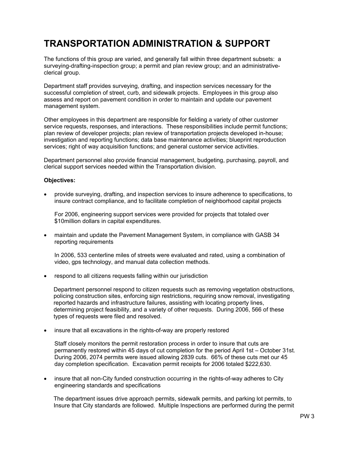# TRANSPORTATION ADMINISTRATION & SUPPORT

The functions of this group are varied, and generally fall within three department subsets: a surveying-drafting-inspection group; a permit and plan review group; and an administrativeclerical group.

Department staff provides surveying, drafting, and inspection services necessary for the successful completion of street, curb, and sidewalk projects. Employees in this group also assess and report on pavement condition in order to maintain and update our pavement management system.

Other employees in this department are responsible for fielding a variety of other customer service requests, responses, and interactions. These responsibilities include permit functions; plan review of developer projects; plan review of transportation projects developed in-house; investigation and reporting functions; data base maintenance activities; blueprint reproduction services; right of way acquisition functions; and general customer service activities.

Department personnel also provide financial management, budgeting, purchasing, payroll, and clerical support services needed within the Transportation division.

#### Objectives:

• provide surveying, drafting, and inspection services to insure adherence to specifications, to insure contract compliance, and to facilitate completion of neighborhood capital projects

For 2006, engineering support services were provided for projects that totaled over \$10million dollars in capital expenditures.

• maintain and update the Pavement Management System, in compliance with GASB 34 reporting requirements

In 2006, 533 centerline miles of streets were evaluated and rated, using a combination of video, gps technology, and manual data collection methods.

• respond to all citizens requests falling within our jurisdiction

 Department personnel respond to citizen requests such as removing vegetation obstructions, policing construction sites, enforcing sign restrictions, requiring snow removal, investigating reported hazards and infrastructure failures, assisting with locating property lines, determining project feasibility, and a variety of other requests. During 2006, 566 of these types of requests were filed and resolved.

• insure that all excavations in the rights-of-way are properly restored

Staff closely monitors the permit restoration process in order to insure that cuts are permanently restored within 45 days of cut completion for the period April 1st – October 31st. During 2006, 2074 permits were issued allowing 2839 cuts. 66% of these cuts met our 45 day completion specification. Excavation permit receipts for 2006 totaled \$222,630.

• insure that all non-City funded construction occurring in the rights-of-way adheres to City engineering standards and specifications

 The department issues drive approach permits, sidewalk permits, and parking lot permits, to Insure that City standards are followed. Multiple Inspections are performed during the permit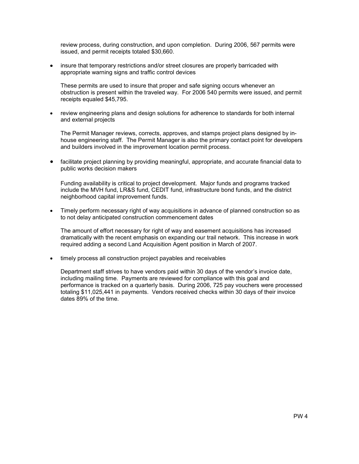review process, during construction, and upon completion. During 2006, 567 permits were issued, and permit receipts totaled \$30,660.

• insure that temporary restrictions and/or street closures are properly barricaded with appropriate warning signs and traffic control devices

These permits are used to insure that proper and safe signing occurs whenever an obstruction is present within the traveled way. For 2006 540 permits were issued, and permit receipts equaled \$45,795.

• review engineering plans and design solutions for adherence to standards for both internal and external projects

The Permit Manager reviews, corrects, approves, and stamps project plans designed by inhouse engineering staff. The Permit Manager is also the primary contact point for developers and builders involved in the improvement location permit process.

• facilitate project planning by providing meaningful, appropriate, and accurate financial data to public works decision makers

Funding availability is critical to project development. Major funds and programs tracked include the MVH fund, LR&S fund, CEDIT fund, infrastructure bond funds, and the district neighborhood capital improvement funds.

• Timely perform necessary right of way acquisitions in advance of planned construction so as to not delay anticipated construction commencement dates

The amount of effort necessary for right of way and easement acquisitions has increased dramatically with the recent emphasis on expanding our trail network. This increase in work required adding a second Land Acquisition Agent position in March of 2007.

timely process all construction project payables and receivables

Department staff strives to have vendors paid within 30 days of the vendor's invoice date, including mailing time. Payments are reviewed for compliance with this goal and performance is tracked on a quarterly basis. During 2006, 725 pay vouchers were processed totaling \$11,025,441 in payments. Vendors received checks within 30 days of their invoice dates 89% of the time.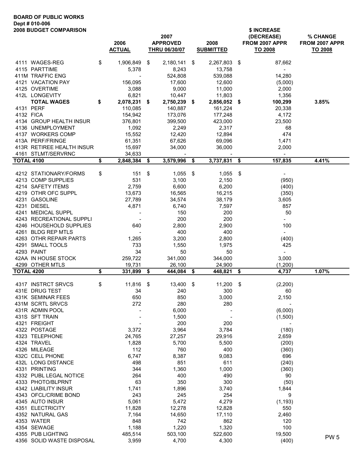#### BOARD OF PUBLIC WORKS Dept # 010-006 2008 BUDGET COMPARISON \$ INCREASE

|                   | ZUUG DUDUET UUINFANIJUIN                  | 2006<br><b>ACTUAL</b>    | 2007<br><b>APPROVED</b><br><b>THRU 06/30/07</b> |      | 2008<br><b>SUBMITTED</b> |      | <b>SIIANDE</b><br>(DECREASE)<br>FROM 2007 APPR<br>TO 2008 | % CHANGE<br>FROM 2007 APPR<br>TO 2008 |
|-------------------|-------------------------------------------|--------------------------|-------------------------------------------------|------|--------------------------|------|-----------------------------------------------------------|---------------------------------------|
|                   |                                           |                          |                                                 |      |                          |      |                                                           |                                       |
|                   | 4111 WAGES-REG<br>4115 PARTTIME           | \$<br>1,906,849<br>5,378 | \$<br>2,180,141<br>8,243                        | \$   | 2,267,803<br>13,758      | - \$ | 87,662<br>$\blacksquare$                                  |                                       |
|                   | 411M TRAFFIC ENG                          |                          | 524,808                                         |      | 539,088                  |      | 14,280                                                    |                                       |
|                   | 4121 VACATION PAY                         | 156,095                  | 17,600                                          |      | 12,600                   |      | (5,000)                                                   |                                       |
|                   | 4125 OVERTIME                             | 3,088                    | 9,000                                           |      | 11,000                   |      | 2,000                                                     |                                       |
|                   | 412L LONGEVITY                            | 6,821                    | 10,447                                          |      | 11,803                   |      | 1,356                                                     |                                       |
|                   | <b>TOTAL WAGES</b>                        | \$<br>2,078,231          | \$<br>2,750,239                                 | \$   | 2,856,052 \$             |      | 100,299                                                   | 3.85%                                 |
|                   | 4131 PERF                                 | 110,085                  | 140,887                                         |      | 161,224                  |      | 20,338                                                    |                                       |
|                   | 4132 FICA                                 | 154,942                  | 173,076                                         |      | 177,248                  |      | 4,172                                                     |                                       |
|                   | 4134 GROUP HEALTH INSUR                   | 376,801                  | 399,500                                         |      | 423,000                  |      | 23,500                                                    |                                       |
|                   | 4136 UNEMPLOYMENT                         | 1,092                    | 2,249                                           |      | 2,317                    |      | 68                                                        |                                       |
|                   | 4137 WORKERS COMP                         | 15,552                   | 12,420                                          |      | 12,894                   |      | 474                                                       |                                       |
|                   | 413A PERF/FRINGE                          | 61,351                   | 67,626                                          |      | 69,096                   |      | 1,471                                                     |                                       |
|                   | 413R RETIREE HEALTH INSUR                 | 15,697                   | 34,000                                          |      | 36,000                   |      | 2,000                                                     |                                       |
|                   | 4161 STLMT/SERVRNC                        | \$<br>34,633             | $3,579,996$ \$                                  |      |                          |      | $\blacksquare$                                            |                                       |
| <b>TOTAL 4100</b> |                                           | 2,848,384                | \$                                              |      | 3,737,831                | - \$ | 157,835                                                   | 4.41%                                 |
|                   | 4212 STATIONARY/FORMS                     | \$<br>151                | \$<br>$1,055$ \$                                |      | 1,055                    | \$   | $\blacksquare$                                            |                                       |
|                   | 4213 COMP SUPPLIES                        | 531                      | 3,100                                           |      | 2,150                    |      | (950)                                                     |                                       |
|                   | 4214 SAFETY ITEMS                         | 2,759                    | 6,600                                           |      | 6,200                    |      | (400)                                                     |                                       |
|                   | 4219 OTHR OFC SUPPL                       | 13,673                   | 16,565                                          |      | 16,215                   |      | (350)                                                     |                                       |
|                   | 4231 GASOLINE                             | 27,789                   | 34,574                                          |      | 38,179                   |      | 3,605                                                     |                                       |
|                   | 4231 DIESEL                               | 4,871                    | 6,740                                           |      | 7,597                    |      | 857                                                       |                                       |
|                   | 4241 MEDICAL SUPPL                        |                          | 150                                             |      | 200                      |      | 50                                                        |                                       |
|                   | 4243 RECREATIONAL SUPPLI                  |                          | 200                                             |      | 200                      |      | $\sim$                                                    |                                       |
|                   | 4246 HOUSEHOLD SUPPLIES                   | 640                      | 2,800                                           |      | 2,900                    |      | 100                                                       |                                       |
|                   | 4261 BLDG REP MTLS                        |                          | 400                                             |      | 400                      |      | $\equiv$                                                  |                                       |
|                   | 4263 OTHR REPAIR PARTS                    | 1,265                    | 3,200                                           |      | 2,800                    |      | (400)                                                     |                                       |
|                   | 4291 SMALL TOOLS                          | 733                      | 1,550                                           |      | 1,975                    |      | 425                                                       |                                       |
|                   | 4293 PAINT                                | 34                       | 50                                              |      | 50                       |      | $\sim$                                                    |                                       |
|                   | 42AA IN HOUSE STOCK                       | 259,722                  | 341,000                                         |      | 344,000                  |      | 3,000                                                     |                                       |
|                   | 4299 OTHER MTLS                           | 19,731                   | 26,100                                          |      | 24,900                   |      | (1,200)                                                   | 1.07%                                 |
| <b>TOTAL 4200</b> |                                           | \$<br>331,899            | \$<br>444,084                                   | \$   | 448,821                  | \$   | 4,737                                                     |                                       |
|                   | 4317 INSTRCT SRVCS                        | \$<br>11,816             | \$<br>13,400                                    | - \$ | 11,200                   | \$   | (2, 200)                                                  |                                       |
|                   | 431E DRUG TEST                            | 34                       | 240                                             |      | 300                      |      | 60                                                        |                                       |
|                   | 431K SEMINAR FEES                         | 650                      | 850                                             |      | 3,000                    |      | 2,150                                                     |                                       |
|                   | 431M SCRTL SRVCS                          | 272                      | 280                                             |      | 280                      |      |                                                           |                                       |
|                   | 431R ADMIN POOL                           |                          | 6,000                                           |      |                          |      | (6,000)                                                   |                                       |
|                   | 431S SFT TRAIN                            |                          | 1,500                                           |      |                          |      | (1,500)                                                   |                                       |
|                   | 4321 FREIGHT                              |                          | 200                                             |      | 200                      |      | $\overline{\phantom{a}}$                                  |                                       |
|                   | 4322 POSTAGE                              | 3,372                    | 3,964                                           |      | 3,784                    |      | (180)                                                     |                                       |
|                   | 4323 TELEPHONE                            | 24,765                   | 27,257                                          |      | 29,916                   |      | 2,659                                                     |                                       |
|                   | 4324 TRAVEL                               | 1,828                    | 5,700                                           |      | 5,500                    |      | (200)                                                     |                                       |
|                   | 4326 MILEAGE                              | 112                      | 760                                             |      | 400                      |      | (360)                                                     |                                       |
|                   | 432C CELL PHONE                           | 6,747                    | 8,387                                           |      | 9,083                    |      | 696                                                       |                                       |
|                   | 432L LONG DISTANCE                        | 498                      | 851                                             |      | 611                      |      | (240)                                                     |                                       |
|                   | 4331 PRINTING<br>4332 PUBL LEGAL NOTICE   | 344<br>264               | 1,360<br>400                                    |      | 1,000<br>490             |      | (360)<br>90                                               |                                       |
|                   |                                           | 63                       | 350                                             |      | 300                      |      |                                                           |                                       |
|                   | 4333 PHOTO/BLPRNT<br>4342 LIABILITY INSUR | 1,741                    | 1,896                                           |      | 3,740                    |      | (50)<br>1,844                                             |                                       |
|                   | 4343 OFCL/CRIME BOND                      | 243                      | 245                                             |      | 254                      |      | 9                                                         |                                       |
|                   | 4345 AUTO INSUR                           | 5,061                    | 5,472                                           |      | 4,279                    |      | (1, 193)                                                  |                                       |
|                   | 4351 ELECTRICITY                          | 11,828                   | 12,278                                          |      | 12,828                   |      | 550                                                       |                                       |
|                   | 4352 NATURAL GAS                          | 7,164                    | 14,650                                          |      | 17,110                   |      | 2,460                                                     |                                       |
|                   | 4353 WATER                                | 848                      | 742                                             |      | 862                      |      | 120                                                       |                                       |
|                   | 4354 SEWAGE                               | 1,188                    | 1,220                                           |      | 1,320                    |      | 100                                                       |                                       |
|                   | 4355 PUB LIGHTING                         | 485,514                  | 503,100                                         |      | 522,600                  |      | 19,500                                                    |                                       |
|                   | 4356 SOLID WASTE DISPOSAL                 | 3,959                    | 4,700                                           |      | 4,300                    |      | (400)                                                     | PW <sub>5</sub>                       |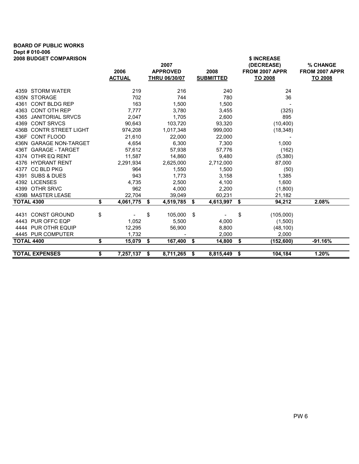# BOARD OF PUBLIC WORKS Dept # 010-006

|                 |                                                               |                                                                                                                                | \$ INCREASE                                                                                                                |                                                                                                                                      |
|-----------------|---------------------------------------------------------------|--------------------------------------------------------------------------------------------------------------------------------|----------------------------------------------------------------------------------------------------------------------------|--------------------------------------------------------------------------------------------------------------------------------------|
|                 |                                                               |                                                                                                                                |                                                                                                                            | % CHANGE                                                                                                                             |
|                 |                                                               |                                                                                                                                |                                                                                                                            | FROM 2007 APPR                                                                                                                       |
|                 |                                                               |                                                                                                                                |                                                                                                                            | <b>TO 2008</b>                                                                                                                       |
| 219             | 216                                                           | 240                                                                                                                            | 24                                                                                                                         |                                                                                                                                      |
| 702             | 744                                                           | 780                                                                                                                            | 36                                                                                                                         |                                                                                                                                      |
| 163             | 1,500                                                         | 1,500                                                                                                                          |                                                                                                                            |                                                                                                                                      |
| 7,777           |                                                               |                                                                                                                                |                                                                                                                            |                                                                                                                                      |
| 2,047           | 1,705                                                         | 2,600                                                                                                                          | 895                                                                                                                        |                                                                                                                                      |
| 90,643          | 103,720                                                       | 93,320                                                                                                                         | (10, 400)                                                                                                                  |                                                                                                                                      |
| 974,208         | 1,017,348                                                     | 999,000                                                                                                                        | (18, 348)                                                                                                                  |                                                                                                                                      |
| 21,610          | 22,000                                                        | 22,000                                                                                                                         |                                                                                                                            |                                                                                                                                      |
| 4,654           | 6,300                                                         | 7,300                                                                                                                          | 1,000                                                                                                                      |                                                                                                                                      |
| 57,612          | 57,938                                                        | 57,776                                                                                                                         | (162)                                                                                                                      |                                                                                                                                      |
| 11,587          | 14,860                                                        | 9,480                                                                                                                          | (5,380)                                                                                                                    |                                                                                                                                      |
| 2,291,934       | 2,625,000                                                     | 2,712,000                                                                                                                      | 87,000                                                                                                                     |                                                                                                                                      |
| 964             | 1,550                                                         | 1,500                                                                                                                          | (50)                                                                                                                       |                                                                                                                                      |
| 943             | 1,773                                                         | 3,158                                                                                                                          | 1,385                                                                                                                      |                                                                                                                                      |
| 4,735           | 2,500                                                         | 4,100                                                                                                                          | 1,600                                                                                                                      |                                                                                                                                      |
| 962             | 4,000                                                         | 2,200                                                                                                                          | (1,800)                                                                                                                    |                                                                                                                                      |
| 22,704          | 39,049                                                        | 60,231                                                                                                                         | 21,182                                                                                                                     |                                                                                                                                      |
| \$              | \$                                                            |                                                                                                                                | \$<br>94,212                                                                                                               | 2.08%                                                                                                                                |
|                 |                                                               |                                                                                                                                |                                                                                                                            |                                                                                                                                      |
|                 |                                                               |                                                                                                                                |                                                                                                                            |                                                                                                                                      |
|                 |                                                               |                                                                                                                                |                                                                                                                            |                                                                                                                                      |
|                 |                                                               |                                                                                                                                |                                                                                                                            |                                                                                                                                      |
|                 |                                                               |                                                                                                                                |                                                                                                                            |                                                                                                                                      |
|                 |                                                               |                                                                                                                                |                                                                                                                            | $-91.16%$                                                                                                                            |
| \$<br>7,257,137 |                                                               | 8,815,449                                                                                                                      | \$<br>104,184                                                                                                              | 1.20%                                                                                                                                |
|                 | 2006<br><b>ACTUAL</b><br>\$<br>1,052<br>12,295<br>1,732<br>\$ | 2007<br><b>APPROVED</b><br><b>THRU 06/30/07</b><br>3,780<br>4,061,775<br>105,000<br>\$<br>5,500<br>56,900<br>15,079 \$<br>- \$ | 2008<br><b>SUBMITTED</b><br>3,455<br>4,519,785 \$<br>\$<br>4,000<br>8,800<br>2,000<br>167,400 \$<br>14,800<br>8,711,265 \$ | (DECREASE)<br>FROM 2007 APPR<br>TO 2008<br>(325)<br>4,613,997<br>\$<br>(105,000)<br>(1,500)<br>(48, 100)<br>2,000<br>\$<br>(152,600) |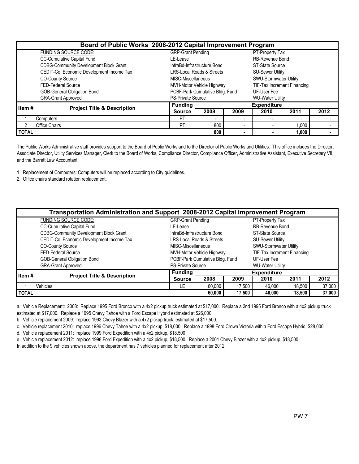|              | Board of Public Works 2008-2012 Capital Improvement Program |                             |                                                                 |                        |                         |                             |      |  |  |  |  |
|--------------|-------------------------------------------------------------|-----------------------------|-----------------------------------------------------------------|------------------------|-------------------------|-----------------------------|------|--|--|--|--|
|              | <b>FUNDING SOURCE CODE:</b>                                 | <b>GRP-Grant Pending</b>    |                                                                 |                        | PT-Property Tax         |                             |      |  |  |  |  |
|              | CC-Cumulative Capital Fund                                  | LE-Lease                    |                                                                 | <b>RB-Revenue Bond</b> |                         |                             |      |  |  |  |  |
|              | <b>CDBG-Community Development Block Grant</b>               | InfraBd-Infrastructure Bond | <b>ST-State Source</b>                                          |                        |                         |                             |      |  |  |  |  |
|              | CEDIT-Co. Economic Development Income Tax                   |                             | <b>LRS-Local Roads &amp; Streets</b><br><b>SU-Sewer Utility</b> |                        |                         |                             |      |  |  |  |  |
|              | <b>CO-County Source</b>                                     |                             | <b>SWU-Stormwater Utility</b><br>MISC-Miscellaneous             |                        |                         |                             |      |  |  |  |  |
|              | <b>FED-Federal Source</b>                                   |                             | MVH-Motor Vehicle Highway                                       |                        |                         | TIF-Tax Increment Financing |      |  |  |  |  |
|              | GOB-General Obligation Bond                                 |                             | PCBF-Park Cumulative Bldg. Fund                                 |                        | UF-User Fee             |                             |      |  |  |  |  |
|              | <b>GRA-Grant Approved</b>                                   | <b>PS-Private Source</b>    |                                                                 |                        | <b>WU-Water Utility</b> |                             |      |  |  |  |  |
| Item#        | <b>Project Title &amp; Description</b>                      | <b>Funding</b>              |                                                                 |                        | <b>Expenditure</b>      |                             |      |  |  |  |  |
|              |                                                             | <b>Source</b>               | 2008                                                            | 2009                   | 2010                    | 2011                        | 2012 |  |  |  |  |
|              | Computers                                                   | <b>PT</b>                   | $\overline{\phantom{a}}$                                        |                        |                         | $\overline{\phantom{0}}$    |      |  |  |  |  |
| 2            | <b>Office Chairs</b>                                        | <b>PT</b>                   | 800                                                             |                        |                         | 1,000                       |      |  |  |  |  |
| <b>TOTAL</b> |                                                             |                             | 800                                                             |                        |                         | 1,000                       |      |  |  |  |  |

The Public Works Administrative staff provides support to the Board of Public Works and to the Director of Public Works and Utilities. This office includes the Director, Associate Director, Utility Services Manager, Clerk to the Board of Works, Compliance Director, Compliance Officer, Administrative Assistant, Executive Secretary VII, and the Barrett Law Accountant.

1. Replacement of Computers: Computers will be replaced according to City guidelines.

2. Office chairs standard rotation replacement.

|              | Transportation Administration and Support 2008-2012 Capital Improvement Program |                                                          |                                      |                         |                         |        |        |  |  |  |
|--------------|---------------------------------------------------------------------------------|----------------------------------------------------------|--------------------------------------|-------------------------|-------------------------|--------|--------|--|--|--|
|              | FUNDING SOURCE CODE:                                                            | <b>GRP-Grant Pending</b>                                 |                                      |                         | PT-Property Tax         |        |        |  |  |  |
|              | CC-Cumulative Capital Fund                                                      | LE-Lease                                                 |                                      |                         | RB-Revenue Bond         |        |        |  |  |  |
|              | <b>CDBG-Community Development Block Grant</b>                                   | InfraBd-Infrastructure Bond                              | ST-State Source                      |                         |                         |        |        |  |  |  |
|              | CEDIT-Co. Economic Development Income Tax                                       |                                                          | <b>LRS-Local Roads &amp; Streets</b> | <b>SU-Sewer Utility</b> |                         |        |        |  |  |  |
|              | <b>CO-County Source</b>                                                         | MISC-Miscellaneous                                       |                                      |                         | SWU-Stormwater Utility  |        |        |  |  |  |
|              | <b>FED-Federal Source</b>                                                       | TIF-Tax Increment Financing<br>MVH-Motor Vehicle Highway |                                      |                         |                         |        |        |  |  |  |
|              | GOB-General Obligation Bond                                                     | PCBF-Park Cumulative Bldg. Fund<br>UF-User Fee           |                                      |                         |                         |        |        |  |  |  |
|              | <b>GRA-Grant Approved</b>                                                       | <b>PS-Private Source</b>                                 |                                      |                         | <b>WU-Water Utility</b> |        |        |  |  |  |
| Item #       | <b>Project Title &amp; Description</b>                                          | <b>Funding</b>                                           |                                      |                         | <b>Expenditure</b>      |        |        |  |  |  |
|              |                                                                                 | 2008<br>2011<br>2009<br>2010<br><b>Source</b>            |                                      |                         |                         |        |        |  |  |  |
|              | <b>Vehicles</b>                                                                 | LE                                                       | 60,000                               | 17,500                  | 46,000                  | 18,500 | 37,000 |  |  |  |
| <b>TOTAL</b> |                                                                                 |                                                          | 60,000                               | 17,500                  | 46,000                  | 18,500 | 37,000 |  |  |  |

a. Vehicle Replacement: 2008: Replace 1995 Ford Bronco with a 4x2 pickup truck estimated at \$17,000. Replace a 2nd 1995 Ford Bronco with a 4x2 pickup truck estimated at \$17,000. Replace a 1995 Chevy Tahoe with a Ford Escape Hybrid estimated at \$26,000.

b. Vehicle replacement 2009: replace 1993 Chevy Blazer with a 4x2 pickup truck, estimated at \$17,500.

c. Vehicle replacement 2010: replace 1996 Chevy Tahoe with a 4x2 pickup, \$18,000. Replace a 1998 Ford Crown Victoria with a Ford Escape Hybrid, \$28,000

d. Vehicle replacement 2011: replace 1999 Ford Expedition with a 4x2 pickup, \$18,500

e. Vehicle replacement 2012: replace 1998 Ford Expedition with a 4x2 pickup, \$18,500. Replace a 2001 Chevy Blazer with a 4x2 pickup, \$18,500

In addition to the 9 vehicles shown above, the department has 7 vehicles planned for replacement after 2012.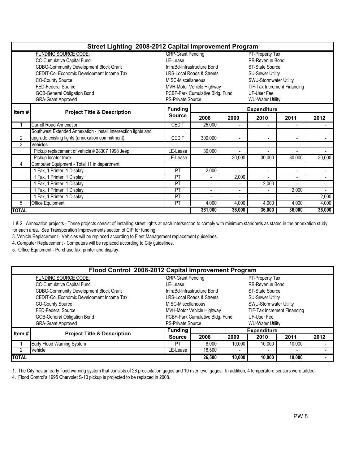|                | Street Lighting 2008-2012 Capital Improvement Program           |                          |                                                          |                 |                          |                          |              |  |  |  |  |
|----------------|-----------------------------------------------------------------|--------------------------|----------------------------------------------------------|-----------------|--------------------------|--------------------------|--------------|--|--|--|--|
|                | <b>FUNDING SOURCE CODE:</b>                                     | <b>GRP-Grant Pending</b> |                                                          | PT-Property Tax |                          |                          |              |  |  |  |  |
|                | CC-Cumulative Capital Fund                                      | I F-I ease               |                                                          |                 | RB-Revenue Bond          |                          |              |  |  |  |  |
|                | <b>CDBG-Community Development Block Grant</b>                   |                          | InfraBd-Infrastructure Bond                              |                 | ST-State Source          |                          |              |  |  |  |  |
|                | CEDIT-Co. Economic Development Income Tax                       |                          | <b>LRS-Local Roads &amp; Streets</b>                     |                 | <b>SU-Sewer Utility</b>  |                          |              |  |  |  |  |
|                | <b>CO-County Source</b>                                         |                          | SWU-Stormwater Utility<br>MISC-Miscellaneous             |                 |                          |                          |              |  |  |  |  |
|                | FED-Federal Source                                              |                          | TIF-Tax Increment Financing<br>MVH-Motor Vehicle Highway |                 |                          |                          |              |  |  |  |  |
|                | <b>GOB-General Obligation Bond</b>                              |                          | PCBF-Park Cumulative Bldg. Fund                          |                 | UF-User Fee              |                          |              |  |  |  |  |
|                | <b>GRA-Grant Approved</b>                                       | <b>PS-Private Source</b> |                                                          |                 | <b>WU-Water Utility</b>  |                          |              |  |  |  |  |
| Item#          | <b>Project Title &amp; Description</b>                          | <b>Funding</b>           |                                                          |                 | <b>Expenditure</b>       |                          |              |  |  |  |  |
|                |                                                                 | <b>Source</b>            | 2008                                                     | 2009            | 2010                     | 2011                     | 2012         |  |  |  |  |
|                | Carroll Road Annexation                                         | <b>CEDIT</b>             | 25,000                                                   |                 |                          |                          |              |  |  |  |  |
|                | Southwest Extended Annexation - install intersection lights and |                          |                                                          |                 |                          |                          |              |  |  |  |  |
| $\overline{2}$ | upgrade existing lights (annexation commitment)                 | <b>CEDIT</b>             | 300,000                                                  |                 |                          | $\overline{\phantom{a}}$ |              |  |  |  |  |
| 3              | Vehicles                                                        |                          |                                                          |                 |                          |                          |              |  |  |  |  |
|                | Pickup replacement of vehicle # 28307 1998 Jeep                 | LE-Lease                 | 30,000                                                   |                 |                          |                          |              |  |  |  |  |
|                | Pickup locator truck                                            | LE-Lease                 |                                                          | 30,000          | 30,000                   | 30,000                   | 30,000       |  |  |  |  |
| 4              | Computer Equipment - Total 11 in department                     |                          |                                                          |                 |                          |                          |              |  |  |  |  |
|                | 1 Fax, 1 Printer, 1 Display                                     | PT                       | 2,000                                                    |                 | $\overline{\phantom{a}}$ | $\blacksquare$           | $\sim$       |  |  |  |  |
|                | 1 Fax, 1 Printer, 1 Display                                     | PT                       |                                                          | 2,000           |                          | $\blacksquare$           |              |  |  |  |  |
|                | 1 Fax, 1 Printer, 1 Display                                     | PT                       | ٠                                                        |                 | 2,000                    |                          |              |  |  |  |  |
|                | 1 Fax, 1 Printer, 1 Display                                     | PT                       | ٠                                                        | ÷               | $\overline{a}$           | 2,000                    | $\mathbf{r}$ |  |  |  |  |
|                | 1 Fax, 1 Printer, 1 Display                                     | PT                       | ٠                                                        | ÷               |                          |                          | 2,000        |  |  |  |  |
| 5              | <b>Office Equipment</b>                                         | PT                       | 4,000                                                    | 4,000           | 4,000                    | 4,000                    | 4,000        |  |  |  |  |
| <b>TOTAL</b>   |                                                                 |                          | 361,000                                                  | 36,000          | 36,000                   | 36,000                   | 36,000       |  |  |  |  |

1 & 2. Annexation projects - These projects consist of installing street lights at each intersection to comply with minimum standards as stated in the annexation study for each area. See Transporation Improvements section of CIP for funding.

3. Vehicle Replacement - Vehicles will be replaced according to Fleet Management replacement guidelines.

4. Computer Replacement - Computers will be replaced according to City guidelines.

5. Office Equipment - Purchase fax, printer and display.

|        |                                               | Flood Control 2008-2012 Capital Improvement Program |                                                                 |                 |                               |                          |      |  |  |  |
|--------|-----------------------------------------------|-----------------------------------------------------|-----------------------------------------------------------------|-----------------|-------------------------------|--------------------------|------|--|--|--|
|        | <b>FUNDING SOURCE CODE:</b>                   | <b>GRP-Grant Pending</b>                            |                                                                 | PT-Property Tax |                               |                          |      |  |  |  |
|        | CC-Cumulative Capital Fund                    | LE-Lease                                            |                                                                 |                 | <b>RB-Revenue Bond</b>        |                          |      |  |  |  |
|        | <b>CDBG-Community Development Block Grant</b> |                                                     | InfraBd-Infrastructure Bond                                     |                 | <b>ST-State Source</b>        |                          |      |  |  |  |
|        | CEDIT-Co. Economic Development Income Tax     |                                                     | <b>LRS-Local Roads &amp; Streets</b><br><b>SU-Sewer Utility</b> |                 |                               |                          |      |  |  |  |
|        | <b>CO-County Source</b>                       | MISC-Miscellaneous                                  |                                                                 |                 | <b>SWU-Stormwater Utility</b> |                          |      |  |  |  |
|        | FED-Federal Source                            |                                                     | TIF-Tax Increment Financing<br>MVH-Motor Vehicle Highway        |                 |                               |                          |      |  |  |  |
|        | <b>GOB-General Obligation Bond</b>            |                                                     | PCBF-Park Cumulative Bldg. Fund                                 |                 | UF-User Fee                   |                          |      |  |  |  |
|        | <b>GRA-Grant Approved</b>                     | <b>PS-Private Source</b>                            |                                                                 |                 | <b>WU-Water Utility</b>       |                          |      |  |  |  |
| Item # | <b>Project Title &amp; Description</b>        | <b>Funding</b>                                      |                                                                 |                 | <b>Expenditure</b>            |                          |      |  |  |  |
|        |                                               | <b>Source</b>                                       | 2008                                                            | 2009            | 2010                          | 2011                     | 2012 |  |  |  |
|        | <b>Early Flood Warning System</b>             | PT                                                  | 8,000                                                           | 10.000          | 10,000                        | 10,000                   |      |  |  |  |
|        | Vehicle                                       | LE-Lease                                            | 18,500                                                          |                 | $\overline{\phantom{0}}$      | $\overline{\phantom{a}}$ |      |  |  |  |
| TOTAL  |                                               |                                                     | 26,500                                                          | 10,000          | 10,000                        | 10,000                   |      |  |  |  |

1. The City has an early flood warning system that consists of 28 precipitation gages and 10 river level gages. In addition, 4 temperature sensors were added.

4. Flood Control's 1995 Chervolet S-10 pickup is projected to be replaced in 2008.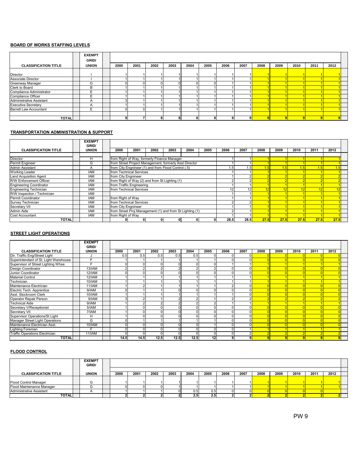#### BOARD OF WORKS STAFFING LEVELS

|                             | <b>EXEMPT</b><br>GRID/ |      |      |      |      |      |      |      |      |      |      |      |      |      |       |
|-----------------------------|------------------------|------|------|------|------|------|------|------|------|------|------|------|------|------|-------|
| <b>CLASSIFICATION TITLE</b> | <b>UNION</b>           | 2000 | 2001 | 2002 | 2003 | 2004 | 2005 | 2006 | 2007 | 2008 | 2009 | 2010 | 2011 | 2012 |       |
|                             |                        |      |      |      |      |      |      |      |      |      |      |      |      |      |       |
| Director                    |                        |      |      |      |      |      |      |      |      |      |      |      |      |      |       |
| Associate Director          |                        |      |      |      |      |      |      |      |      |      |      |      |      |      |       |
| Greenway Manager            | G                      |      |      |      |      |      |      |      |      |      |      |      |      |      |       |
| Clerk to Board              | B                      |      |      |      |      |      |      |      |      |      |      |      |      |      |       |
| Compliance Administrator    |                        |      |      |      |      |      |      |      |      |      |      |      |      |      |       |
| Compliance Officer          |                        |      |      |      |      |      |      |      |      |      |      |      |      |      | -1-1- |
| Administrative Assistant    |                        |      |      |      |      |      |      |      |      |      |      |      |      |      |       |
| <b>Executive Secretary</b>  | $\mathsf{A}$           |      |      |      |      |      |      |      |      |      |      |      |      |      |       |
| Barrett Law Accountant      |                        | 01   |      |      |      |      |      |      |      |      |      |      |      |      |       |
|                             |                        |      |      |      |      |      |      |      |      |      |      |      |      |      |       |
| <b>TOTAL</b>                |                        |      |      | 8    | 8    |      |      |      |      |      |      |      |      |      | BB .  |

#### TRANSPORTATION ADMINISTRATION & SUPPORT

|                               | <b>EXEMPT</b><br>GRID/ |                                                          |      |      |      |      |      |      |      |      |      |      |      |      |  |
|-------------------------------|------------------------|----------------------------------------------------------|------|------|------|------|------|------|------|------|------|------|------|------|--|
| <b>CLASSIFICATION TITLE</b>   | <b>UNION</b>           | 2000                                                     | 2001 | 2002 | 2003 | 2004 | 2005 | 2006 | 2007 | 2008 | 2009 | 2010 | 2011 | 2012 |  |
|                               |                        |                                                          |      |      |      |      |      |      |      |      |      |      |      |      |  |
| <b>Director</b>               | н                      | from Right of Way, formerly Finance Manager              |      |      |      |      |      |      |      |      |      |      |      |      |  |
| Permit Engineer               | G                      | from Street Project Management, formerly Asst Director   |      |      |      |      |      |      |      |      |      |      |      |      |  |
| <b>Admin Assistant</b>        |                        | from City Engnineer (1) and from Flood Control (.5)      |      |      |      |      |      | l.5  | .5   | 1.5  |      |      | 1.5  | .5   |  |
| <b>Working Leader</b>         | <b>IAM</b>             | from Technical Services                                  |      |      |      |      |      |      |      |      |      |      |      |      |  |
| <b>Land Acquisition Agent</b> | <b>IAM</b>             | from City Engnineer                                      |      |      |      |      |      |      |      |      |      |      |      |      |  |
| R/W Enforcement Officer       | <b>IAM</b>             | from Right of Way (2) and from St Lighting (1)           |      |      |      |      |      |      |      |      |      |      |      |      |  |
| Engineering Coordinator       | <b>IAM</b>             | from Traffic Engineering                                 |      |      |      |      |      |      |      |      |      |      |      |      |  |
| Engineering Technician        | <b>IAM</b>             | from Technical Services                                  |      |      |      |      |      |      |      |      |      |      |      |      |  |
| R/W Inspection / Technician   | IAM                    |                                                          |      |      |      |      |      |      |      |      |      |      |      |      |  |
| Permit Coordinator            | <b>IAM</b>             | from Right of Way                                        |      |      |      |      |      |      |      |      |      |      |      |      |  |
| Survey Technician             | <b>IAM</b>             | from Technical Services                                  |      |      |      |      |      |      |      |      |      |      |      |      |  |
| Secretary VII                 | <b>IAM</b>             | from City Engnineer                                      |      |      |      |      |      |      |      |      |      |      |      |      |  |
| Admin Aide                    | IAM                    | from Street Proj Management (1) and from St Lighting (1) |      |      |      |      |      |      |      |      |      |      |      |      |  |
| Cost Accountant               | <b>IAM</b>             | from Right of Way                                        |      |      |      |      |      |      |      |      |      |      |      |      |  |
| <b>TOTAL</b>                  |                        |                                                          |      |      |      |      |      | 28.5 | 28.5 | 27.5 | 27.5 | 27.5 | 27.5 | 27.5 |  |

#### STREET LIGHT OPERATIONS

|                                       | <b>EXEMPT</b><br>GRID/ |      |      |      |      |      |      |      |      |      |      |      |      |      |  |
|---------------------------------------|------------------------|------|------|------|------|------|------|------|------|------|------|------|------|------|--|
| <b>CLASSIFICATION TITLE</b>           | <b>UNION</b>           | 2000 | 2001 | 2002 | 2003 | 2004 | 2005 | 2006 | 2007 | 2008 | 2009 | 2010 | 2011 | 2012 |  |
| Dir. Traffic Eng/Street Light         |                        | 0.5  | 0.5  | 0.5  | 0.5  | 0.5  |      |      |      |      |      |      |      |      |  |
| Superintendant of St. Light Warehouse |                        |      |      |      |      |      |      |      |      |      |      |      |      |      |  |
| Supervisor of Street Lighting Whse.   | Е                      |      |      |      |      |      |      |      |      |      |      |      |      |      |  |
| Design Coordinator                    | 13/IAM                 |      |      |      |      |      |      |      |      |      |      |      |      |      |  |
| Junior Coordinator                    | $12/\overline{AM}$     |      |      |      |      |      |      |      |      |      |      |      |      |      |  |
| <b>Material Control</b>               | <b>12/IAM</b>          |      |      |      |      |      |      |      |      |      |      |      |      |      |  |
| Technician                            | 10/IAM                 |      |      |      |      |      |      |      |      |      |      |      |      |      |  |
| Maintenance Electrician               | <b>11/IAM</b>          |      |      |      |      |      |      |      |      |      |      |      |      |      |  |
| Electric Tech. Apprentice             | 9/IAM                  |      |      |      |      |      |      |      |      |      |      |      |      |      |  |
| Asst. Stockroom Clerk                 | 10/IAM                 |      |      |      |      |      |      |      |      |      |      |      |      |      |  |
| Operator Repair Person                | 9/IAM                  |      |      |      |      |      |      |      |      |      |      |      |      |      |  |
| <b>Technical Aide</b>                 | 9/IAM                  |      |      |      |      |      |      |      |      |      |      |      |      |      |  |
| Secretary V/Receptionist              | 5/IAM                  |      |      |      |      |      |      |      |      |      |      |      |      |      |  |
| Secretary VII                         | 7/IAM                  |      |      |      |      |      |      |      |      |      |      |      |      |      |  |
| Supervisor Operations/St Light        | н                      |      |      |      |      |      |      |      |      |      |      |      |      |      |  |
| Manager Street Light Operations       | G                      |      |      |      |      |      |      |      |      |      |      |      |      |      |  |
| Maintenance Electrician Asst.         | 10/IAM                 |      |      |      |      |      |      |      |      |      |      |      |      |      |  |
| <b>Lighting Foreman</b>               |                        |      |      |      |      |      |      |      |      |      |      |      |      |      |  |
| <b>Traffic Operations Electrician</b> | <b>11/IAM</b>          |      |      |      |      |      |      |      |      |      |      |      |      |      |  |
| <b>TOTAL</b>                          |                        | 14.5 | 14.5 | 12.5 | 12.5 | 12.5 | 12   | 9    |      |      |      |      |      |      |  |

#### FLOOD CONTROL

|                             | <b>EXEMPT</b><br>GRID/ |      |      |      |      |       |      |      |      |      |      |      |      |      |  |
|-----------------------------|------------------------|------|------|------|------|-------|------|------|------|------|------|------|------|------|--|
| <b>CLASSIFICATION TITLE</b> | <b>UNION</b>           | 2000 | 2001 | 2002 | 2003 | 2004  | 2005 | 2006 | 2007 | 2008 | 2009 | 2010 | 2011 | 2012 |  |
|                             |                        |      |      |      |      |       |      |      |      |      |      |      |      |      |  |
| Flood Control Manager       | ⌒                      |      |      |      |      |       |      |      |      |      |      |      |      |      |  |
| Flood Maintenance Manager   |                        |      | nı   |      |      |       |      |      |      |      |      |      |      |      |  |
| Administrative Assistant    |                        |      |      |      |      | ا 5.5 | 0.5  |      |      |      |      |      |      |      |  |
| <b>TOTAL</b>                |                        |      |      |      |      | 2.5   | 2.5  |      |      |      |      |      |      |      |  |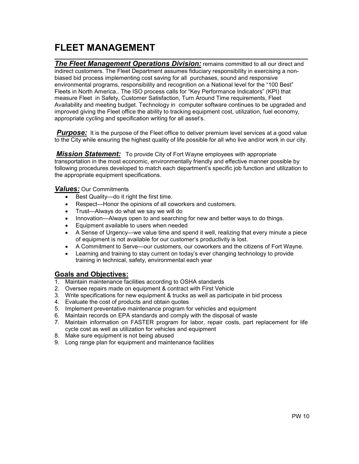# FLEET MANAGEMENT

l The Fleet Management Operations Division: remains committed to all our direct and indirect customers. The Fleet Department assumes fiduciary responsibility in exercising a nonbiased bid process implementing cost saving for all purchases, sound and responsive environmental programs, responsibility and recognition on a National level for the "100 Best" Fleets in North America.. The ISO process calls for "Key Performance Indicators" (KPI) that measure Fleet in Safety, Customer Satisfaction, Turn Around Time requirements, Fleet Availability and meeting budget. Technology in computer software continues to be upgraded and improved giving the Fleet office the ability to tracking equipment cost, utilization, fuel economy, appropriate cycling and specification writing for all asset's.

**Purpose:** It is the purpose of the Fleet office to deliver premium level services at a good value to the City while ensuring the highest quality of life possible for all who live and/or work in our city.

**Mission Statement:** To provide City of Fort Wayne employees with appropriate transportation in the most economic, environmentally friendly and effective manner possible by following procedures developed to match each department's specific job function and utilization to the appropriate equipment specifications.

#### Values: Our Commitments

- Best Quality—do it right the first time.
- Respect—Honor the opinions of all coworkers and customers.
- Trust—Always do what we say we will do
- Innovation—Always open to and searching for new and better ways to do things.
- Equipment available to users when needed
- A Sense of Urgency—we value time and spend it well, realizing that every minute a piece of equipment is not available for our customer's productivity is lost.
- A Commitment to Serve—our customers, our coworkers and the citizens of Fort Wayne.
- Learning and training to stay current on today's ever changing technology to provide training in technical, safety, environmental each year

### Goals and Objectives:

- 1. Maintain maintenance facilities according to OSHA standards
- 2. Oversee repairs made on equipment & contract with First Vehicle
- 3. Write specifications for new equipment & trucks as well as participate in bid process
- 4. Evaluate the cost of products and obtain quotes
- 5. Implement preventative maintenance program for vehicles and equipment
- 6. Maintain records on EPA standards and comply with the disposal of waste
- 7. Maintain information on FASTER program for labor, repair costs, part replacement for life cycle cost as well as utilization for vehicles and equipment
- 8. Make sure equipment is not being abused
- 9. Long range plan for equipment and maintenance facilities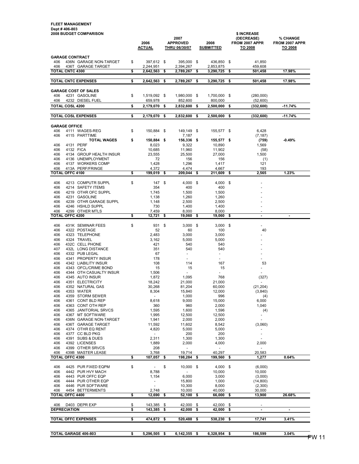#### FLEET MANAGEMENT Dept # 406-803

| <b>2008 BUDGET COMPARISON</b>                                                        |          | 2006<br><b>ACTUAL</b>    |          | 2007<br><b>APPROVED</b><br><b>THRU 06/30/07</b> |          | 2008<br><b>SUBMITTED</b> |          | \$ INCREASE<br>(DECREASE)<br>FROM 2007 APPR<br>TO 2008 | % CHANGE<br>FROM 2007 APPR<br>TO 2008 |
|--------------------------------------------------------------------------------------|----------|--------------------------|----------|-------------------------------------------------|----------|--------------------------|----------|--------------------------------------------------------|---------------------------------------|
| <b>GARAGE CONTRACT</b><br>406<br>436N GARAGE NON-TARGET<br>406<br>436T GARAGE TARGET | \$       | 397,612 \$<br>2,244,951  |          | 395,000 \$<br>2,394,267                         |          | 436,850 \$<br>2,853,875  |          | 41,850<br>459,608                                      |                                       |
| <b>TOTAL CNTC 4300</b>                                                               | \$       | 2,642,563                | \$       | 2,789,267                                       | \$       | 3,290,725                | \$       | 501,458                                                | 17.98%                                |
| <b>TOTAL CNTC EXPENSES</b>                                                           | \$       | 2,642,563                | \$       | 2,789,267                                       | \$       | 3,290,725                | \$       | 501,458                                                | 17.98%                                |
| <b>GARAGE COST OF SALES</b>                                                          |          |                          |          |                                                 |          |                          |          |                                                        |                                       |
| 406<br>4231 GASOLINE                                                                 | \$       | 1.519.092 \$             |          | 1,980,000                                       | \$       | 1,700,000                | - \$     | (280,000)                                              |                                       |
| 406<br>4232 DIESEL FUEL<br><b>TOTAL COSL 4200</b>                                    | \$       | 659,978<br>2,179,070     | \$       | 852,600<br>2,832,600                            | \$       | 800,000<br>2,500,000     | \$       | (52,600)<br>(332, 600)                                 | $-11.74%$                             |
| <b>TOTAL COSL EXPENSES</b>                                                           | \$       |                          |          |                                                 |          |                          |          |                                                        | $-11.74%$                             |
|                                                                                      |          | 2,179,070                | \$       | 2,832,600                                       | \$       | 2,500,000                | \$       | (332, 600)                                             |                                       |
| <b>GARAGE OFFICE</b><br>406<br>4111 WAGES-REG                                        | \$       | 150,884                  | \$       | 149,149                                         | \$       | 155,577 \$               |          | 6,428                                                  |                                       |
| 406<br>4115 PARTTIME                                                                 |          |                          |          | 7,187                                           |          |                          |          | (7, 187)                                               |                                       |
| <b>TOTAL WAGES</b>                                                                   | \$       | 150,884 \$               |          | 156,336                                         | \$       | 155,577 \$               |          | (759)                                                  | $-0.49%$                              |
| 4131 PERF<br>406<br>406<br>4132 FICA                                                 |          | 8,023<br>10,685          |          | 9,322<br>11,960                                 |          | 10,890<br>11,902         |          | 1,569<br>(58)                                          |                                       |
| 406<br>4134 GROUP HEALTH INSUR                                                       |          | 23,555                   |          | 25,500                                          |          | 27,000                   |          | 1,500                                                  |                                       |
| 406<br>4136 UNEMPLOYMENT                                                             |          | 72                       |          | 156                                             |          | 156                      |          | (1)                                                    |                                       |
| 406<br>4137 WORKERS COMP<br>406<br>413A PERF/FRINGE                                  |          | 1,428<br>4,372           |          | 1,296<br>4,474                                  |          | 1,417<br>4,667           |          | 121<br>193                                             |                                       |
| <b>TOTAL OFFC 4100</b>                                                               | \$       | 199.019                  | \$       | 209,044                                         | \$       | 211,609                  | \$       | 2,565                                                  | 1.23%                                 |
| 406<br>4213 COMPUTR SUPPL                                                            | \$       | 147                      | \$       | 4.000                                           | \$       | 4,000                    | \$       |                                                        |                                       |
| 406<br>4214 SAFETY ITEMS                                                             |          | 354                      |          | 400                                             |          | 400                      |          |                                                        |                                       |
| 406<br>4219 OTHR OFC SUPPL<br>4231 GASOLINE                                          |          | 1,745                    |          | 1,500                                           |          | 1,500                    |          |                                                        |                                       |
| 406<br>406<br>4239 OTHR GARAGE SUPPL                                                 |          | 1,138<br>1,148           |          | 1,260<br>2,500                                  |          | 1,260<br>2,500           |          |                                                        |                                       |
| 406<br>4246 HSHLD SUPPL                                                              |          | 730                      |          | 1,400                                           |          | 1,400                    |          |                                                        |                                       |
| 406<br>4299 OTHER MTLS<br><b>TOTAL OFFC 4200</b>                                     | \$       | 7,459<br>12,721          | \$       | 8,000<br>19,060                                 | \$       | 8,000<br>19,060          | \$       | $\blacksquare$                                         | ×,                                    |
|                                                                                      |          |                          |          |                                                 |          |                          |          |                                                        |                                       |
| 406<br>431K SEMINAR FEES                                                             | \$       | 931<br>52                | \$       | 3,000                                           | \$       | 3,000                    | - \$     | $\overline{\phantom{a}}$<br>40                         |                                       |
| 406<br>4322 POSTAGE<br>406<br>4323 TELEPHONE                                         |          | 2,483                    |          | 60<br>3,000                                     |          | 100<br>3,000             |          |                                                        |                                       |
| 406<br>4324 TRAVEL                                                                   |          | 3,162                    |          | 5,000                                           |          | 5,000                    |          |                                                        |                                       |
| 432C CELL PHONE<br>406<br>407<br>432L LONG DISTANCE                                  |          | 421<br>351               |          | 540<br>540                                      |          | 540<br>540               |          |                                                        |                                       |
| 406<br>4332 PUB LEGAL                                                                |          | 67                       |          | $\overline{\phantom{a}}$                        |          | $\sim$                   |          |                                                        |                                       |
| 406<br>4341 PROPERTY INSUR                                                           |          | 178                      |          | $\overline{\phantom{a}}$                        |          | $\blacksquare$           |          |                                                        |                                       |
| 406<br>4342 LIABILITY INSUR<br>406<br>4343 OFCL/CRIME BOND                           |          | 108<br>15                |          | 114<br>15                                       |          | 167<br>15                |          | 53<br>$\overline{\phantom{a}}$                         |                                       |
| 406<br>4344 OTH CASUALTY INSUR                                                       |          | 1,506                    |          | $\blacksquare$                                  |          | $\overline{\phantom{a}}$ |          |                                                        |                                       |
| 406<br>4345 AUTO INSUR                                                               |          | 1,872                    |          | 1,095                                           |          | 768                      |          | (327)                                                  |                                       |
| 406<br>4351 ELECTRICITY<br>406<br>4352 NATURAL GAS                                   |          | 18,242<br>30,268         |          | 21,000<br>81,204                                |          | 21,000<br>60,000         |          | (21, 204)                                              |                                       |
| 406<br>4353 WATER                                                                    |          | 8,304                    |          | 15,840                                          |          | 12,000                   |          | (3,840)                                                |                                       |
| 4359 STORM SEWER<br>406                                                              |          | $\overline{\phantom{a}}$ |          | 1,000                                           |          | 996                      |          | (4)                                                    |                                       |
| 406<br>4361 CONT BLD REP<br>406<br>4363 CONT OTH REP                                 |          | 8,618<br>360             |          | 9,000<br>960                                    |          | 15,000<br>2,000          |          | 6,000<br>1,040                                         |                                       |
| 406<br>4365 JANITORIAL SRVCS                                                         |          | 1,595                    |          | 1,600                                           |          | 1,596                    |          | (4)                                                    |                                       |
| 406<br>4367 MT SOFTWARE                                                              |          | 1,995                    |          | 12,500                                          |          | 12,500                   |          | $\sim$                                                 |                                       |
| 406<br>436N GARAGE NON-TARGET<br>406<br>436T GARAGE TARGET                           |          | 1,941<br>11,592          |          | 2,000<br>11,602                                 |          | 2,000<br>8,542           |          | $\overline{\phantom{a}}$<br>(3,060)                    |                                       |
| 406<br>4374 OTHR EQ RENT                                                             |          | 4,820                    |          | 5,000                                           |          | 5,000                    |          |                                                        |                                       |
| 4377 CC BLD PKG<br>406                                                               |          | $\blacksquare$           |          | 200                                             |          | 200                      |          | ÷,                                                     |                                       |
| 4391 SUBS & DUES<br>406<br>406<br>4392 LICENSES                                      |          | 2,311<br>1,889           |          | 1,300<br>2,000                                  |          | 1,300<br>4,000           |          | 2,000                                                  |                                       |
| 406<br>4399 OTHER SRVCS                                                              |          | 208                      |          | $\overline{\phantom{a}}$                        |          | $\blacksquare$           |          | $\overline{\phantom{a}}$                               |                                       |
| 406<br>439B MASTER LEASE<br><b>TOTAL</b><br><b>OFFC 4300</b>                         | \$       | 3,768<br>107,057         | \$       | 19,714<br>198,284                               | \$       | 40,297<br>199,560        | \$       | 20,583<br>1,277                                        | 0.64%                                 |
|                                                                                      |          |                          |          |                                                 |          |                          |          |                                                        |                                       |
| 406<br>4425 PUR FIXED EQPM                                                           | \$       | $\overline{\phantom{a}}$ | \$       | 10,000 \$                                       |          | $4,000$ \$               |          | (6,000)                                                |                                       |
| 406<br>4442 PUR HVY MACH<br>406<br>4443 PUR OFFC EQP                                 |          | 8,788<br>1,154           |          | 6,000                                           |          | 10,000<br>3,000          |          | 10,000<br>(3,000)                                      |                                       |
| 406<br>4444 PUR OTHER EQP                                                            |          | $\overline{\phantom{a}}$ |          | 15,800                                          |          | 1,000                    |          | (14, 800)                                              |                                       |
| 406<br>4446 PUR SOFTWARE                                                             |          | $\sim$                   |          | 10,300                                          |          | 8,000                    |          | (2,300)                                                |                                       |
| 406<br>4454 BETTERMENTS<br><b>TOTAL OFFC 4400</b>                                    | \$       | 2,748<br>12,690          | \$       | 10,000<br>52,100                                | \$       | 40,000<br>66,000         | \$       | 30,000<br>13,900                                       | 26.68%                                |
|                                                                                      |          |                          |          |                                                 |          |                          |          |                                                        |                                       |
| 406<br>D403 DEPR EXP<br><b>DEPRECIATION</b>                                          | \$<br>\$ | 143,385<br>143,385       | \$<br>\$ | 42,000<br>42,000                                | \$<br>\$ | 42,000<br>42,000         | \$<br>\$ | $\blacksquare$                                         |                                       |
|                                                                                      |          |                          |          |                                                 |          |                          |          |                                                        |                                       |
| <b>TOTAL OFFC EXPENSES</b>                                                           | \$       | 474,872                  | \$       | 520,488                                         | \$       | 538,230                  | \$       | 17,741                                                 | 3.41%                                 |
|                                                                                      |          |                          |          |                                                 |          |                          |          |                                                        |                                       |
| TOTAL GARAGE 406-803                                                                 | \$       | 5,296,505                | \$       | 6,142,355                                       | \$       | 6,328,954                | \$       | 186,599                                                | 3.04%                                 |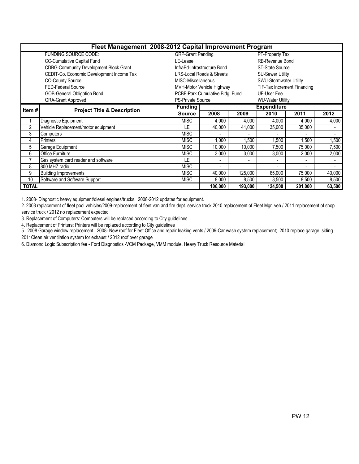|                | Fleet Management 2008-2012 Capital Improvement Program<br><b>GRP-Grant Pending</b> |                                 |                                      |                |                         |                          |                          |  |  |  |  |  |  |
|----------------|------------------------------------------------------------------------------------|---------------------------------|--------------------------------------|----------------|-------------------------|--------------------------|--------------------------|--|--|--|--|--|--|
|                | <b>FUNDING SOURCE CODE:</b>                                                        |                                 |                                      |                | PT-Property Tax         |                          |                          |  |  |  |  |  |  |
|                | CC-Cumulative Capital Fund                                                         | LE-Lease                        |                                      |                | <b>RB-Revenue Bond</b>  |                          |                          |  |  |  |  |  |  |
|                | <b>CDBG-Community Development Block Grant</b>                                      |                                 | InfraBd-Infrastructure Bond          |                | ST-State Source         |                          |                          |  |  |  |  |  |  |
|                | CEDIT-Co. Economic Development Income Tax                                          |                                 | <b>LRS-Local Roads &amp; Streets</b> |                | <b>SU-Sewer Utility</b> |                          |                          |  |  |  |  |  |  |
|                | <b>CO-County Source</b>                                                            | MISC-Miscellaneous              |                                      |                | SWU-Stormwater Utility  |                          |                          |  |  |  |  |  |  |
|                | <b>FED-Federal Source</b>                                                          | MVH-Motor Vehicle Highway       | <b>TIF-Tax Increment Financing</b>   |                |                         |                          |                          |  |  |  |  |  |  |
|                | <b>GOB-General Obligation Bond</b>                                                 | PCBF-Park Cumulative Bldg. Fund |                                      |                |                         |                          |                          |  |  |  |  |  |  |
|                | <b>GRA-Grant Approved</b>                                                          | <b>PS-Private Source</b>        |                                      |                | <b>WU-Water Utility</b> |                          |                          |  |  |  |  |  |  |
| Item #         | <b>Project Title &amp; Description</b>                                             | <b>Funding</b>                  |                                      |                | <b>Expenditure</b>      |                          |                          |  |  |  |  |  |  |
|                |                                                                                    | <b>Source</b>                   | 2008                                 | 2009           | 2010                    | 2011                     | 2012                     |  |  |  |  |  |  |
|                | Diagnostic Equipment                                                               | <b>MISC</b>                     | 4,000                                | 4,000          | 4,000                   | 4,000                    | 4,000                    |  |  |  |  |  |  |
| $\overline{2}$ | Vehicle Replacement/motor equipment                                                | LE                              | 40,000                               | 41,000         | 35,000                  | 35,000                   |                          |  |  |  |  |  |  |
| 3              | Computers                                                                          | <b>MISC</b>                     | $\blacksquare$                       | $\blacksquare$ | $\blacksquare$          | ٠                        | $\overline{\phantom{a}}$ |  |  |  |  |  |  |
| 4              | Printers                                                                           | <b>MISC</b>                     | 1,000                                | 1,500          | ,500                    | 1,500                    | ,500                     |  |  |  |  |  |  |
| 5              | Garage Equipment                                                                   | <b>MISC</b>                     | 10,000                               | 10,000         | 7,500                   | 75,000                   | 7,500                    |  |  |  |  |  |  |
| 6              | <b>Office Furniture</b>                                                            | <b>MISC</b>                     | 3,000                                | 3,000          | 3,000                   | 2,000                    | 2,000                    |  |  |  |  |  |  |
| 7              | Gas system card reader and software                                                | LE                              | $\overline{\phantom{a}}$             |                |                         | ٠                        |                          |  |  |  |  |  |  |
| 8              | 800 MHZ radio                                                                      | <b>MISC</b>                     | $\blacksquare$                       |                |                         | $\overline{\phantom{a}}$ | $\overline{\phantom{a}}$ |  |  |  |  |  |  |
| 9              | <b>Building Improvements</b>                                                       | <b>MISC</b>                     | 40,000                               | 125,000        | 65,000                  | 75,000                   | 40,000                   |  |  |  |  |  |  |
| 10             | Software and Software Support                                                      | <b>MISC</b>                     | 8,000                                | 8,500          | 8,500                   | 8,500                    | 8,500                    |  |  |  |  |  |  |
| <b>TOTAL</b>   |                                                                                    |                                 | 106,000                              | 193,000        | 124,500                 | 201,000                  | 63,500                   |  |  |  |  |  |  |

1. 2008- Diagnostic heavy equipment/diesel engines/trucks. 2008-2012 updates for equipment.

2. 2008 replacement of fleet pool vehicles/2009-replacement of fleet van and fire dept. service truck 2010 replacement of Fleet Mgr. veh./ 2011 replacement of shop service truck / 2012 no replacement expected

3. Replacement of Computers: Computers will be replaced according to City guidelines

4. Replacement of Printers: Printers will be replaced according to City guidelines

5. 2008 Garage window replacement. 2008- New roof for Fleet Office and repair leaking vents / 2009-Car wash system replacement; 2010 replace garage siding. 2011Clean air ventilation system for exhaust / 2012 roof over garage

6. Diamond Logic Subscription fee - Ford Diagnostics -VCM Package, VMM module, Heavy Truck Resource Material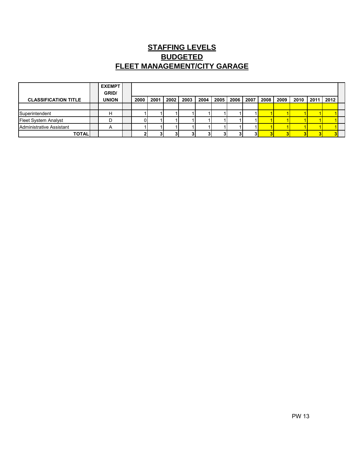## **STAFFING LEVELS BUDGETED FLEET MANAGEMENT/CITY GARAGE**

|                             | <b>EXEMPT</b><br>GRID/ |      |      |      |      |      |      |      |      |      |      |      |      |      |  |
|-----------------------------|------------------------|------|------|------|------|------|------|------|------|------|------|------|------|------|--|
| <b>CLASSIFICATION TITLE</b> | <b>UNION</b>           | 2000 | 2001 | 2002 | 2003 | 2004 | 2005 | 2006 | 2007 | 2008 | 2009 | 2010 | 2011 | 2012 |  |
|                             |                        |      |      |      |      |      |      |      |      |      |      |      |      |      |  |
| Superintendent              |                        |      |      |      |      |      |      |      |      |      |      |      |      |      |  |
| <b>Fleet System Analyst</b> |                        |      |      |      |      |      |      |      |      |      |      |      |      |      |  |
| Administrative Assistant    | A                      |      |      |      |      |      |      |      |      |      |      |      |      |      |  |
| <b>TOTAL</b>                |                        |      |      |      |      |      |      |      |      |      |      |      |      |      |  |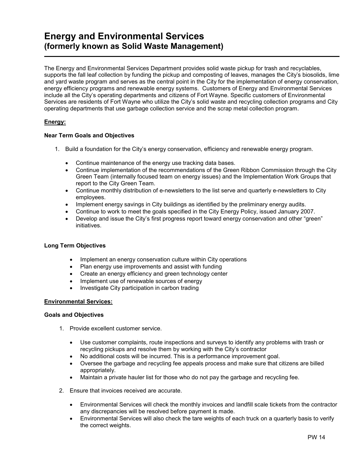### Energy and Environmental Services (formerly known as Solid Waste Management) ł,

The Energy and Environmental Services Department provides solid waste pickup for trash and recyclables, supports the fall leaf collection by funding the pickup and composting of leaves, manages the City's biosolids, lime and yard waste program and serves as the central point in the City for the implementation of energy conservation, energy efficiency programs and renewable energy systems. Customers of Energy and Environmental Services include all the City's operating departments and citizens of Fort Wayne. Specific customers of Environmental Services are residents of Fort Wayne who utilize the City's solid waste and recycling collection programs and City operating departments that use garbage collection service and the scrap metal collection program.

### Energy:

#### Near Term Goals and Objectives

- 1. Build a foundation for the City's energy conservation, efficiency and renewable energy program.
	- Continue maintenance of the energy use tracking data bases.
	- Continue implementation of the recommendations of the Green Ribbon Commission through the City Green Team (internally focused team on energy issues) and the Implementation Work Groups that report to the City Green Team.
	- Continue monthly distribution of e-newsletters to the list serve and quarterly e-newsletters to City employees.
	- Implement energy savings in City buildings as identified by the preliminary energy audits.
	- Continue to work to meet the goals specified in the City Energy Policy, issued January 2007.
	- Develop and issue the City's first progress report toward energy conservation and other "green" initiatives.

#### Long Term Objectives

- Implement an energy conservation culture within City operations
- Plan energy use improvements and assist with funding
- Create an energy efficiency and green technology center
- Implement use of renewable sources of energy
- Investigate City participation in carbon trading

#### Environmental Services:

#### Goals and Objectives

- 1. Provide excellent customer service.
	- Use customer complaints, route inspections and surveys to identify any problems with trash or recycling pickups and resolve them by working with the City's contractor
	- No additional costs will be incurred. This is a performance improvement goal.
	- Oversee the garbage and recycling fee appeals process and make sure that citizens are billed appropriately.
	- Maintain a private hauler list for those who do not pay the garbage and recycling fee.
- 2. Ensure that invoices received are accurate.
	- Environmental Services will check the monthly invoices and landfill scale tickets from the contractor any discrepancies will be resolved before payment is made.
	- Environmental Services will also check the tare weights of each truck on a quarterly basis to verify the correct weights.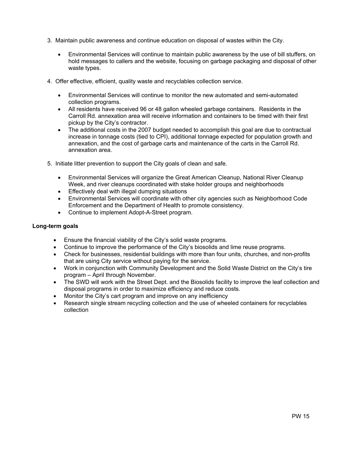- 3. Maintain public awareness and continue education on disposal of wastes within the City.
	- Environmental Services will continue to maintain public awareness by the use of bill stuffers, on hold messages to callers and the website, focusing on garbage packaging and disposal of other waste types.
- 4. Offer effective, efficient, quality waste and recyclables collection service.
	- Environmental Services will continue to monitor the new automated and semi-automated collection programs.
	- All residents have received 96 or 48 gallon wheeled garbage containers. Residents in the Carroll Rd. annexation area will receive information and containers to be timed with their first pickup by the City's contractor.
	- The additional costs in the 2007 budget needed to accomplish this goal are due to contractual increase in tonnage costs (tied to CPI), additional tonnage expected for population growth and annexation, and the cost of garbage carts and maintenance of the carts in the Carroll Rd. annexation area.
- 5. Initiate litter prevention to support the City goals of clean and safe.
	- Environmental Services will organize the Great American Cleanup, National River Cleanup Week, and river cleanups coordinated with stake holder groups and neighborhoods
	- Effectively deal with illegal dumping situations
	- Environmental Services will coordinate with other city agencies such as Neighborhood Code Enforcement and the Department of Health to promote consistency.
	- Continue to implement Adopt-A-Street program.

### Long-term goals

- Ensure the financial viability of the City's solid waste programs.
- Continue to improve the performance of the City's biosolids and lime reuse programs.
- Check for businesses, residential buildings with more than four units, churches, and non-profits that are using City service without paying for the service.
- Work in conjunction with Community Development and the Solid Waste District on the City's tire program – April through November.
- The SWD will work with the Street Dept. and the Biosolids facility to improve the leaf collection and disposal programs in order to maximize efficiency and reduce costs.
- Monitor the City's cart program and improve on any inefficiency
- Research single stream recycling collection and the use of wheeled containers for recyclables collection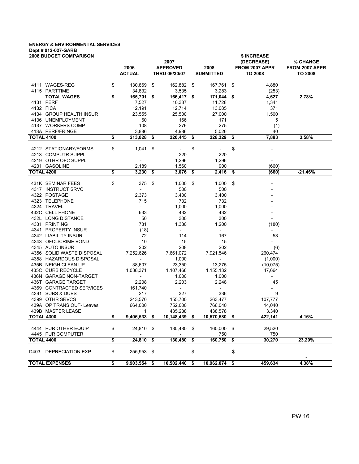### ENERGY & ENVIRONMENTAL SERVICES Dept # 012-027-GARB

|                   | <b>2008 BUDGET COMPARISON</b>               | 2006<br>ACTUAL           |      | 2007<br><b>APPROVED</b><br><b>THRU 06/30/07</b> |      | 2008<br><b>SUBMITTED</b>                 |      | \$ INCREASE<br>(DECREASE)<br>FROM 2007 APPR<br>TO 2008 | % CHANGE<br>FROM 2007 APPR<br><b>TO 2008</b> |
|-------------------|---------------------------------------------|--------------------------|------|-------------------------------------------------|------|------------------------------------------|------|--------------------------------------------------------|----------------------------------------------|
|                   | 4111 WAGES-REG                              | \$<br>130,869            | - \$ | 162,882 \$                                      |      | 167,761                                  | - \$ | 4,880                                                  |                                              |
|                   | 4115 PARTTIME                               | 34,832                   |      | 3,535                                           |      | 3,283                                    |      | (253)                                                  |                                              |
|                   | <b>TOTAL WAGES</b>                          | \$<br>165,701 \$         |      | 166,417 \$                                      |      | 171,044 \$                               |      | 4,627                                                  | 2.78%                                        |
|                   | 4131 PERF                                   | 7,527                    |      | 10,387                                          |      | 11,728                                   |      | 1,341                                                  |                                              |
|                   | 4132 FICA                                   | 12,191                   |      | 12,714                                          |      | 13,085                                   |      | 371                                                    |                                              |
|                   | 4134 GROUP HEALTH INSUR                     | 23,555                   |      | 25,500                                          |      | 27,000                                   |      | 1,500                                                  |                                              |
|                   | 4136 UNEMPLOYMENT                           | 60                       |      | 166                                             |      | 171                                      |      | 5                                                      |                                              |
|                   | 4137 WORKERS COMP                           | 108                      |      | 276                                             |      | 275                                      |      | (1)                                                    |                                              |
|                   | 413A PERF/FRINGE                            | 3,886                    |      | 4,986                                           |      | 5,026                                    |      | 40                                                     |                                              |
| <b>TOTAL 4100</b> |                                             | \$<br>213,028            | -\$  | 220,445                                         | \$   | 228,329                                  | \$   | 7,883                                                  | 3.58%                                        |
|                   | 4212 STATIONARY/FORMS                       | \$<br>1,041              | -\$  |                                                 | \$   |                                          | \$   |                                                        |                                              |
|                   | 4213 COMPUTR SUPPL                          | $\overline{\phantom{a}}$ |      | 220                                             |      | 220                                      |      |                                                        |                                              |
|                   | 4219 OTHR OFC SUPPL                         |                          |      | 1,296                                           |      | 1,296                                    |      | $\overline{a}$                                         |                                              |
|                   | 4231 GASOLINE                               | 2,189                    |      | 1,560                                           |      | 900                                      |      | (660)                                                  |                                              |
| <b>TOTAL 4200</b> |                                             | \$<br>$3,230$ \$         |      | 3,076                                           | \$   | 2,416                                    | \$   | (660)                                                  | $-21.46%$                                    |
|                   |                                             |                          |      |                                                 |      |                                          |      |                                                        |                                              |
|                   | 431K SEMINAR FEES                           | \$<br>375                | \$   | 1,000                                           | \$   | 1,000                                    | \$   |                                                        |                                              |
|                   | 4317 INSTRUCT SRVC                          | $\overline{\phantom{a}}$ |      | 500                                             |      | 500                                      |      |                                                        |                                              |
|                   | 4322 POSTAGE                                | 2,373                    |      | 3,400                                           |      | 3,400                                    |      |                                                        |                                              |
|                   | 4323 TELEPHONE                              | 715                      |      | 732                                             |      | 732                                      |      |                                                        |                                              |
|                   | 4324 TRAVEL                                 | $\overline{\phantom{a}}$ |      | 1,000                                           |      | 1,000                                    |      |                                                        |                                              |
|                   | 432C CELL PHONE                             | 633                      |      | 432                                             |      | 432                                      |      |                                                        |                                              |
|                   | 432L LONG DISTANCE                          | 50                       |      | 300                                             |      | 300                                      |      |                                                        |                                              |
|                   | 4331 PRINTING                               | 781                      |      | 1,380                                           |      | 1,200                                    |      | (180)                                                  |                                              |
|                   | 4341 PROPERTY INSUR                         | (18)                     |      | $\sim$                                          |      | $\overline{\phantom{0}}$                 |      |                                                        |                                              |
|                   | 4342 LIABILITY INSUR                        | 72                       |      | 114                                             |      | 167                                      |      | 53                                                     |                                              |
|                   | 4343 OFCL/CRIME BOND                        | 10                       |      | 15                                              |      | 15                                       |      |                                                        |                                              |
|                   | 4345 AUTO INSUR                             | 202                      |      | 208                                             |      | 202                                      |      | (6)                                                    |                                              |
|                   | 4356 SOLID WASTE DISPOSAL                   | 7,252,626                |      | 7,661,072                                       |      | 7,921,546                                |      | 260,474                                                |                                              |
|                   | 4358 HAZARDOUS DISPOSAL                     | $\sim$                   |      | 1,000                                           |      | $\sim$                                   |      | (1,000)                                                |                                              |
|                   | 435B NEIGH CLEAN UP                         | 38,607                   |      | 23,350                                          |      | 13,275                                   |      | (10, 075)                                              |                                              |
|                   | 435C CURB RECYCLE<br>436N GARAGE NON-TARGET | 1,038,371<br>$\sim$      |      | 1,107,468                                       |      | 1,155,132                                |      | 47,664                                                 |                                              |
|                   | 436T GARAGE TARGET                          |                          |      | 1,000<br>2,203                                  |      | 1,000<br>2,248                           |      | 45                                                     |                                              |
|                   | 4369 CONTRACTED SERVICES                    | 2,208<br>161,740         |      | $\overline{\phantom{a}}$                        |      | $\overline{\phantom{a}}$                 |      |                                                        |                                              |
|                   | 4391 SUBS & DUES                            | 217                      |      | 327                                             |      | 336                                      |      | 9                                                      |                                              |
|                   | 4399 OTHR SRVCS                             | 243,570                  |      | 155,700                                         |      | 263.477                                  |      | 107,777                                                |                                              |
|                   | 439A OP TRANS OUT- Leaves                   | 664,000                  |      | 752,000                                         |      | 766,040                                  |      | 14,040                                                 |                                              |
|                   | 439B MASTER LEASE                           | 1                        |      | 435,238                                         |      | 438,578                                  |      | 3,340                                                  |                                              |
| <b>TOTAL 4300</b> |                                             | \$<br>9,406,533          | \$   | 10,148,439 \$                                   |      | 10,570,580                               | \$   | 422,141                                                | 4.16%                                        |
|                   |                                             |                          |      |                                                 |      |                                          |      |                                                        |                                              |
|                   | 4444 PUR OTHER EQUIP                        | \$<br>24,810 \$          |      | 130,480 \$                                      |      | 160,000 \$                               |      | 29,520                                                 |                                              |
|                   | 4445 PUR COMPUTER                           | $\sim$                   |      |                                                 |      | 750                                      |      | 750                                                    |                                              |
| <b>TOTAL 4400</b> |                                             | \$<br>24,810 \$          |      | 130,480 \$                                      |      | 160,750 \$                               |      | 30,270                                                 | 23.20%                                       |
|                   | D403 DEPRECIATION EXP                       | \$<br>255,953 \$         |      |                                                 | - \$ |                                          | - \$ | $\overline{\phantom{a}}$                               |                                              |
|                   | <b>TOTAL EXPENSES</b>                       | \$                       |      |                                                 |      | 9,903,554 \$ 10,502,440 \$ 10,962,074 \$ |      | 459,634                                                | 4.38%                                        |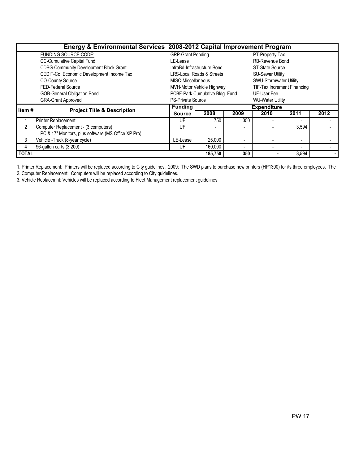|              | Energy & Environmental Services 2008-2012 Capital Improvement Program |                          |                                                          |                          |                               |                          |      |  |  |  |
|--------------|-----------------------------------------------------------------------|--------------------------|----------------------------------------------------------|--------------------------|-------------------------------|--------------------------|------|--|--|--|
|              | <b>FUNDING SOURCE CODE:</b>                                           | <b>GRP-Grant Pending</b> |                                                          |                          | PT-Property Tax               |                          |      |  |  |  |
|              | <b>CC-Cumulative Capital Fund</b>                                     | LE-Lease                 |                                                          |                          | <b>RB-Revenue Bond</b>        |                          |      |  |  |  |
|              | <b>CDBG-Community Development Block Grant</b>                         |                          | InfraBd-Infrastructure Bond                              |                          | ST-State Source               |                          |      |  |  |  |
|              | CEDIT-Co. Economic Development Income Tax                             |                          | LRS-Local Roads & Streets                                |                          | <b>SU-Sewer Utility</b>       |                          |      |  |  |  |
|              | <b>CO-County Source</b>                                               | MISC-Miscellaneous       |                                                          |                          | <b>SWU-Stormwater Utility</b> |                          |      |  |  |  |
|              | <b>FED-Federal Source</b>                                             |                          | MVH-Motor Vehicle Highway<br>TIF-Tax Increment Financing |                          |                               |                          |      |  |  |  |
|              | GOB-General Obligation Bond                                           |                          | PCBF-Park Cumulative Bldg. Fund                          |                          |                               |                          |      |  |  |  |
|              | <b>GRA-Grant Approved</b>                                             | <b>PS-Private Source</b> |                                                          |                          | <b>WU-Water Utility</b>       |                          |      |  |  |  |
| Item #       | <b>Project Title &amp; Description</b>                                | <b>Funding</b>           |                                                          |                          | <b>Expenditure</b>            |                          |      |  |  |  |
|              |                                                                       | <b>Source</b>            | 2008                                                     | 2009                     | 2010                          | 2011                     | 2012 |  |  |  |
|              | <b>Printer Replacement</b>                                            | UF                       | 750                                                      | 350                      |                               |                          |      |  |  |  |
| 2            | Computer Replacement - (3 computers)                                  | UF                       | ٠                                                        |                          |                               | 3,594                    |      |  |  |  |
|              | PC & 17" Monitors, plus software (MS Office XP Pro)                   |                          |                                                          |                          |                               |                          |      |  |  |  |
| 3            | Vehicle - Truck (8-year cycle)                                        | LE-Lease                 | 25,000                                                   |                          |                               | $\overline{\phantom{a}}$ |      |  |  |  |
| 4            | 96-gallon carts (3,200)                                               | UF                       | 160,000                                                  | $\overline{\phantom{a}}$ |                               |                          |      |  |  |  |
| <b>TOTAL</b> |                                                                       |                          | 185.750                                                  | 350                      |                               | 3,594                    |      |  |  |  |

1. Printer Replacement: Printers will be replaced according to City guidelines. 2009: The SWD plans to purchase new printers (HP1300) for its three employees. The

2. Computer Replacement: Computers will be replaced according to City guidelines.

3. Vehicle Replacemnt: Vehicles will be replaced according to Fleet Management replacement guidelines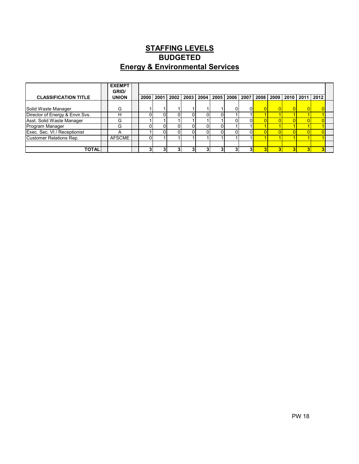## STAFFING LEVELS Energy & Environmental Services BUDGETED

|                                 | <b>EXEMPT</b><br>GRID/ |  |           |  |  |                                                                            |  |  |  |
|---------------------------------|------------------------|--|-----------|--|--|----------------------------------------------------------------------------|--|--|--|
| <b>CLASSIFICATION TITLE</b>     | <b>UNION</b>           |  | 2000 2001 |  |  | 2002   2003   2004   2005   2006   2007   2008   2009   2010   2011   2012 |  |  |  |
|                                 |                        |  |           |  |  |                                                                            |  |  |  |
| Solid Waste Manager             | G                      |  |           |  |  |                                                                            |  |  |  |
| Director of Energy & Envir Svs. |                        |  |           |  |  |                                                                            |  |  |  |
| Asst. Solid Waste Manager       | G                      |  |           |  |  |                                                                            |  |  |  |
| Program Manager                 | G                      |  |           |  |  |                                                                            |  |  |  |
| Exec. Sec. VI / Receptionist    | А                      |  |           |  |  |                                                                            |  |  |  |
| <b>Customer Relations Rep.</b>  | <b>AFSCME</b>          |  |           |  |  |                                                                            |  |  |  |
|                                 |                        |  |           |  |  |                                                                            |  |  |  |
| TOTAL                           |                        |  |           |  |  |                                                                            |  |  |  |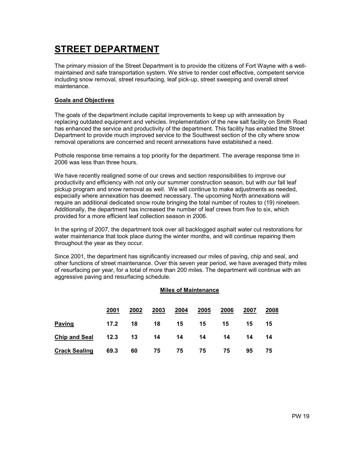# STREET DEPARTMENT

The primary mission of the Street Department is to provide the citizens of Fort Wayne with a wellmaintained and safe transportation system. We strive to render cost effective, competent service including snow removal, street resurfacing, leaf pick-up, street sweeping and overall street maintenance.

#### Goals and Objectives

The goals of the department include capital improvements to keep up with annexation by replacing outdated equipment and vehicles. Implementation of the new salt facility on Smith Road has enhanced the service and productivity of the department. This facility has enabled the Street Department to provide much improved service to the Southwest section of the city where snow removal operations are concerned and recent annexations have established a need.

Pothole response time remains a top priority for the department. The average response time in 2006 was less than three hours.

We have recently realigned some of our crews and section responsibilities to improve our productivity and efficiency with not only our summer construction season, but with our fall leaf pickup program and snow removal as well. We will continue to make adjustments as needed, especially where annexation has deemed necessary. The upcoming North annexations will require an additional dedicated snow route bringing the total number of routes to (19) nineteen. Additionally, the department has increased the number of leaf crews from five to six, which provided for a more efficient leaf collection season in 2006.

In the spring of 2007, the department took over all backlogged asphalt water cut restorations for water maintenance that took place during the winter months, and will continue repairing them throughout the year as they occur.

Since 2001, the department has significantly increased our miles of paving, chip and seal, and other functions of street maintenance. Over this seven year period, we have averaged thirty miles of resurfacing per year, for a total of more than 200 miles. The department will continue with an aggressive paving and resurfacing schedule.

#### Miles of Maintenance

|                      | 2001      | 2002 | 2003 | 2004 | 2005 | 2006 | 2007 | 2008 |
|----------------------|-----------|------|------|------|------|------|------|------|
| <b>Paving</b>        | 17.2      | 18   | 18   | 15   | 15   | 15   | 15   | 15   |
| <b>Chip and Seal</b> | $12.3$ 13 |      | 14   | 14   | 14   | 14   | 14   | 14   |
| <b>Crack Sealing</b> | 69.3      | 60   | 75   | 75   | 75   | 75   | 95   | 75   |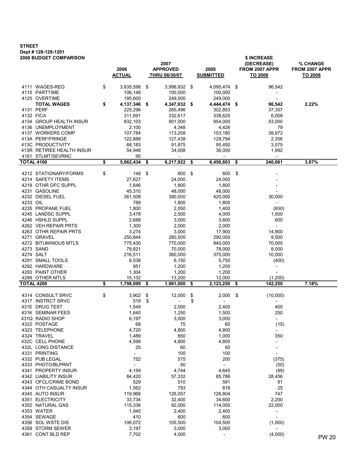## STREET Dept # 128-128-1201

| <b>2008 BUDGET COMPARISON</b> |                    |                                |     | \$ INCREASE              |     |                          |                |
|-------------------------------|--------------------|--------------------------------|-----|--------------------------|-----|--------------------------|----------------|
|                               |                    | 2007                           |     |                          |     | (DECREASE)               | % CHANGE       |
|                               | 2006               | <b>APPROVED</b>                |     | 2008                     |     | FROM 2007 APPR           | FROM 2007 APPR |
|                               | <b>ACTUAL</b>      | THRU 06/30/07                  |     | <b>SUBMITTED</b>         |     | TO 2008                  | TO 2008        |
| 4111 WAGES-REG                | \$<br>3,835,598    | \$<br>3,998,932 \$             |     | 4,095,474 \$             |     | 96,542                   |                |
| 4115 PARTTIME                 | 106,148            | 100,000                        |     | 100,000                  |     | $\overline{a}$           |                |
| 4125 OVERTIME                 | 195,600            | 249,000                        |     | 249,000                  |     |                          |                |
| <b>TOTAL WAGES</b>            | \$<br>4,137,346 \$ | 4,347,932 \$                   |     | 4,444,474 \$             |     | 96,542                   | 2.22%          |
| 4131 PERF                     | 225,296            | 265,496                        |     | 302,853                  |     | 37,357                   |                |
| 4132 FICA                     | 311,691            | 332,617                        |     | 338,625                  |     | 6,008                    |                |
| 4134 GROUP HEALTH INSUR       | 832,103            | 901,000                        |     | 954,000                  |     | 53,000                   |                |
| 4136 UNEMPLOYMENT             | 2,100              | 4,348                          |     | 4,426                    |     | 79                       |                |
| 4137 WORKERS COMP             | 107,784            | 113,208                        |     | 153,180                  |     | 39,972                   |                |
| 413A PERF/FRINGE              | 122,888            | 127,438                        |     | 129,794                  |     | 2,356                    |                |
| 413C PRODUCTIVITY             | 68,183             | 91,875                         |     | 95,450                   |     | 3,575                    |                |
| 413R RETIREE HEALTH INSUR     | 54,948             | 34,008                         |     | 36,000                   |     | 1,992                    |                |
| 4161 STLMT/SEVRNC             | 95                 | $ \,$                          |     | $\overline{\phantom{a}}$ |     | $\overline{\phantom{a}}$ |                |
| <b>TOTAL 4100</b>             | \$<br>5,862,434    | \$<br>6,217,922                | \$  | 6,458,803                | \$  | 240,881                  | 3.87%          |
|                               |                    |                                |     |                          |     |                          |                |
| 4212 STATIONARY/FORMS         | \$<br>148          | \$<br>600 \$                   |     | 600                      | \$  |                          |                |
| 4214 SAFETY ITEMS             | 27,627             | 24,000                         |     | 24,000                   |     |                          |                |
| 4219 OTHR OFC SUPPL           | 1,646              | 1,800                          |     | 1,800                    |     |                          |                |
| 4231 GASOLINE                 | 45,310             | 48,000                         |     | 48,000                   |     |                          |                |
| 4232 DIESEL FUEL              | 361,508            | 390,000                        |     | 420,000                  |     | 30,000                   |                |
| 4233 OIL                      | 789                | 1,800                          |     | 1,800                    |     | $\overline{\phantom{a}}$ |                |
| 4235 PROPANE FUEL             | 1,800              | 2,050                          |     | 1,400                    |     | (650)                    |                |
| 4245 LANDSC SUPPL             | 3,478              | 2,500                          |     | 4,000                    |     | 1,500                    |                |
| 4246 HSHLD SUPPL              | 2,688              | 3,000                          |     | 3,600                    |     | 600                      |                |
| 4262 VEH REPAIR PRTS          | 1,300              | 2,000                          |     | 2,000                    |     | $\equiv$                 |                |
| 4263 OTHR REPAIR PRTS         | 3,274              | 3,000                          |     | 17,900                   |     | 14,900                   |                |
| 4271 GRAVEL                   | 250,844            | 280,500                        |     | 290,000                  |     | 9,500                    |                |
| 4272 BITUMINOUS MTLS          | 775,430            | 770,000                        |     | 840,000                  |     | 70,000                   |                |
| 4273 SAND                     | 79,821             | 70,000                         |     | 78,000                   |     | 8,000                    |                |
| 4274 SALT                     | 216,511            | 360,000                        |     | 370,000                  |     | 10,000                   |                |
| 4291 SMALL TOOLS              | 8,538              | 6,150                          |     | 5,750                    |     | (400)                    |                |
| 4292 HARDWARE                 | 951                | 1,200                          |     | 1,200                    |     | $\overline{\phantom{a}}$ |                |
| 4293 PAINT OTHER              | 1,304              | 1,200                          |     | 1,200                    |     | $\overline{\phantom{a}}$ |                |
| 4299 OTHER MTLS               | 15,132             | 13,200                         |     | 12,000                   |     | (1,200)                  |                |
| <b>TOTAL 4200</b>             | \$<br>1,798,099    | \$<br>1,981,000                | -\$ | 2,123,250                | \$  | 142,250                  | 7.18%          |
|                               |                    |                                |     |                          |     |                          |                |
| 4314 CONSULT SRVC             | \$<br>3,902        | \$<br>12,000                   | \$  | 2,000                    | -\$ | (10,000)                 |                |
| 4317 INSTRCT SRVC             | 519                | \$<br>$\overline{\phantom{a}}$ | \$  | $\overline{\phantom{a}}$ |     |                          |                |
| 431E DRUG TEST                | 1,549              | 2,000                          |     | 2,400                    |     | 400                      |                |
| 431K SEMINAR FEES             | 1,640              | 1,250                          |     | 1,500                    |     | 250                      |                |
| 431Q RADIO SHOP               | 6,197              | 3,000                          |     | 3,000                    |     |                          |                |
| 4322 POSTAGE                  | 68                 | 75                             |     | 60                       |     | (15)                     |                |
| 4323 TELEPHONE                | 4,720              | 4,800                          |     | 4,800                    |     |                          |                |
| 4324 TRAVEL                   | 1,489              | 650                            |     | 1,000                    |     | 350                      |                |
| 432C CELL PHONE               | 4,598              | 4,800                          |     | 4,800                    |     | $\overline{\phantom{0}}$ |                |
| 432L LONG DISTANCE            | 25                 | 60                             |     | 60                       |     |                          |                |
| 4331 PRINTING                 | $\blacksquare$     | 100                            |     | 100                      |     | $\overline{\phantom{a}}$ |                |
| 4332 PUB LEGAL                | 752                | 575                            |     | 200                      |     | (375)                    |                |
| 4333 PHOTO/BLPRNT             | $\blacksquare$     | 50                             |     | $\overline{\phantom{a}}$ |     | (50)                     |                |
| 4341 PROPERTY INSUR           | 4,159              | 4,744                          |     | 4,645                    |     | (99)                     |                |
| 4342 LIABILITY INSUR          | 84,420             | 57,332                         |     | 85,788                   |     | 28,456                   |                |
| 4343 OFCL/CRIME BOND          | 529                | 510                            |     | 591                      |     | 81                       |                |
| 4344 OTH CASUALTY INSUR       |                    |                                |     | 818                      |     | 25                       |                |
|                               | 1,562              | 793                            |     |                          |     |                          |                |
| 4345 AUTO INSUR               | 119,968            | 126,057                        |     | 126,804                  |     | 747                      |                |
| 4351 ELECTRICITY              | 33,734             | 32,400                         |     | 34,600                   |     | 2,200                    |                |
| 4352 NATURAL GAS              | 115,336            | 92,000                         |     | 114,000                  |     | 22,000                   |                |
| 4353 WATER                    | 1,940              | 2,400                          |     | 2,400                    |     | $\overline{\phantom{0}}$ |                |
| 4354 SEWAGE                   | 410                | 600                            |     | 600                      |     | $\overline{\phantom{0}}$ |                |
| 4356 SOL WSTE DIS             | 106,072            | 105,500                        |     | 104,500                  |     | (1,000)                  |                |
| 4359 STORM SEWER              | 3,197              | 3,000                          |     | 3,000                    |     |                          |                |
| 4361 CONT BLD REP             | 7,702              | 4,000                          |     | $\overline{\phantom{a}}$ |     | (4,000)                  | <b>PW 20</b>   |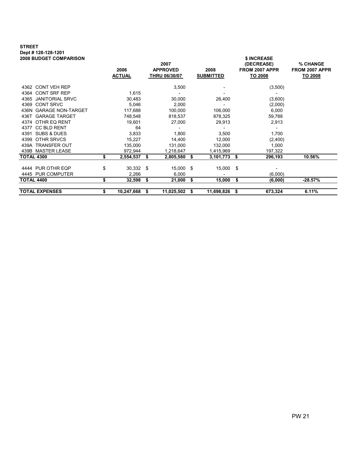#### STREET Dept # 128-128-1201 2008 BUDGET COMPARISON \$ INCREASE

| יוסטוויה שטונו של נשפט     |    | 2006<br><b>ACTUAL</b> |    | 2007<br><b>APPROVED</b><br><b>THRU 06/30/07</b> |      | 2008<br><b>SUBMITTED</b> | , ,,,,,,,,,,,<br>(DECREASE)<br>FROM 2007 APPR<br>TO 2008 | % CHANGE<br>FROM 2007 APPR<br>TO 2008 |
|----------------------------|----|-----------------------|----|-------------------------------------------------|------|--------------------------|----------------------------------------------------------|---------------------------------------|
| 4362 CONT VEH REP          |    |                       |    | 3,500                                           |      |                          | (3,500)                                                  |                                       |
| 4364 CONT SRF REP          |    | 1,615                 |    |                                                 |      |                          |                                                          |                                       |
| 4365 JANITORIAL SRVC       |    | 30,483                |    | 30,000                                          |      | 26,400                   | (3,600)                                                  |                                       |
| 4369 CONT SRVC             |    | 5,046                 |    | 2,000                                           |      |                          | (2,000)                                                  |                                       |
| 436N GARAGE NON-TARGET     |    | 117,688               |    | 100,000                                         |      | 106,000                  | 6,000                                                    |                                       |
| 436T GARAGE TARGET         |    | 748,548               |    | 818,537                                         |      | 878,325                  | 59,788                                                   |                                       |
| 4374 OTHR EQ RENT          |    | 19,601                |    | 27,000                                          |      | 29,913                   | 2,913                                                    |                                       |
| <b>CC BLD RENT</b><br>4377 |    | 64                    |    |                                                 |      |                          |                                                          |                                       |
| 4391 SUBS & DUES           |    | 3,833                 |    | 1,800                                           |      | 3,500                    | 1,700                                                    |                                       |
| OTHR SRVCS<br>4399         |    | 15,227                |    | 14,400                                          |      | 12,000                   | (2,400)                                                  |                                       |
| 439A TRANSFER OUT          |    | 135,000               |    | 131,000                                         |      | 132,000                  | 1,000                                                    |                                       |
| 439B MASTER LEASE          |    | 972,944               |    | 1,218,647                                       |      | 1,415,969                | 197,322                                                  |                                       |
| TOTAL 4300                 | S  | 2,554,537             | \$ | 2,805,580                                       | - \$ | 3,101,773                | 296,193<br>\$                                            | 10.56%                                |
| 4444 PUR OTHR EQP          | \$ | 30,332 \$             |    | 15,000 \$                                       |      | 15,000 \$                |                                                          |                                       |
| 4445 PUR COMPUTER          |    | 2,266                 |    | 6,000                                           |      |                          | (6,000)                                                  |                                       |
| TOTAL 4400                 | \$ | 32,598                | \$ | 21,000                                          | -\$  | 15,000                   | \$<br>(6,000)                                            | $-28.57%$                             |
| <b>TOTAL EXPENSES</b>      | \$ | 10,247,668            | S  | 11,025,502                                      | -56  | 11,698,826               | 673,324<br>S                                             | 6.11%                                 |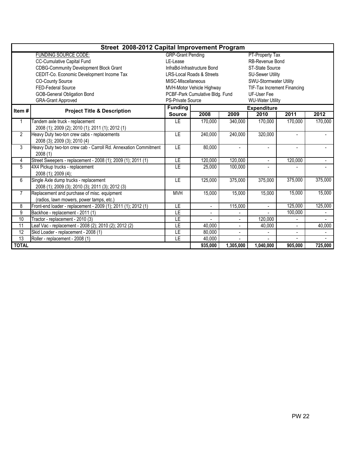|                 | Street 2008-2012 Capital Improvement Program                    |                          |                                      |                         |                             |                |         |  |  |
|-----------------|-----------------------------------------------------------------|--------------------------|--------------------------------------|-------------------------|-----------------------------|----------------|---------|--|--|
|                 | <b>FUNDING SOURCE CODE:</b>                                     | <b>GRP-Grant Pending</b> |                                      |                         | PT-Property Tax             |                |         |  |  |
|                 | CC-Cumulative Capital Fund                                      | LE-Lease                 |                                      |                         | RB-Revenue Bond             |                |         |  |  |
|                 | <b>CDBG-Community Development Block Grant</b>                   |                          | InfraBd-Infrastructure Bond          |                         | ST-State Source             |                |         |  |  |
|                 | CEDIT-Co. Economic Development Income Tax                       |                          | <b>LRS-Local Roads &amp; Streets</b> |                         | <b>SU-Sewer Utility</b>     |                |         |  |  |
|                 | <b>CO-County Source</b>                                         | MISC-Miscellaneous       |                                      |                         | SWU-Stormwater Utility      |                |         |  |  |
|                 | <b>FED-Federal Source</b>                                       |                          | MVH-Motor Vehicle Highway            |                         | TIF-Tax Increment Financing |                |         |  |  |
|                 | <b>GOB-General Obligation Bond</b>                              |                          | PCBF-Park Cumulative Bldg. Fund      |                         | UF-User Fee                 |                |         |  |  |
|                 | <b>GRA-Grant Approved</b>                                       | <b>PS-Private Source</b> |                                      | <b>WU-Water Utility</b> |                             |                |         |  |  |
| Item#           | <b>Project Title &amp; Description</b>                          | <b>Funding</b>           |                                      |                         | <b>Expenditure</b>          |                |         |  |  |
|                 |                                                                 | <b>Source</b>            | 2008                                 | 2009                    | 2010                        | 2011           | 2012    |  |  |
| 1               | Tandem axle truck - replacement                                 | LE                       | 170,000                              | 340,000                 | 170,000                     | 170.000        | 170,000 |  |  |
|                 | 2008 (1); 2009 (2); 2010 (1); 2011 (1); 2012 (1)                |                          |                                      |                         |                             |                |         |  |  |
| 2               | Heavy Duty two-ton crew cabs - replacements                     | <b>LE</b>                | 240,000                              | 240,000                 | 320,000                     | $\blacksquare$ |         |  |  |
|                 | 2008 (3); 2009 (3); 2010 (4)                                    |                          |                                      |                         |                             |                |         |  |  |
| 3               | Heavy Duty two-ton crew cab - Carroll Rd. Annexation Commitment | LE                       | 80,000                               |                         |                             | $\blacksquare$ |         |  |  |
|                 | 2008(1)                                                         |                          |                                      |                         |                             |                |         |  |  |
| 4               | Street Sweepers - replacement - 2008 (1); 2009 (1); 2011 (1)    | LE                       | 120,000                              | 120,000                 |                             | 120,000        |         |  |  |
| $\overline{5}$  | 4X4 Pickup trucks - replacement                                 | LE                       | 25,000                               | 100,000                 |                             |                |         |  |  |
|                 | 2008 (1); 2009 (4);                                             |                          |                                      |                         |                             |                |         |  |  |
| 6               | Single Axle dump trucks - replacement                           | LE                       | 125,000                              | 375,000                 | 375,000                     | 375,000        | 375,000 |  |  |
|                 | 2008 (1); 2009 (3); 2010 (3); 2011 (3); 2012 (3)                |                          |                                      |                         |                             |                |         |  |  |
| $\overline{7}$  | Replacement and purchase of misc. equipment                     | <b>MVH</b>               | 15,000                               | 15,000                  | 15,000                      | 15,000         | 15,000  |  |  |
|                 | (radios, lawn mowers, power tamps, etc.)                        |                          |                                      |                         |                             |                |         |  |  |
| 8               | Front-end loader - replacement - 2009 (1); 2011 (1); 2012 (1)   | LE                       | $\blacksquare$                       | 115,000                 | $\overline{a}$              | 125,000        | 125,000 |  |  |
| 9               | Backhoe - replacement - 2011 (1)                                | LE                       |                                      |                         |                             | 100,000        |         |  |  |
| 10              | Tractor - replacement - 2010 (3)                                | LE                       |                                      |                         | 120,000                     |                |         |  |  |
| $\overline{11}$ | Leaf Vac - replacement - 2008 (2); 2010 (2); 2012 (2)           | LE                       | 40,000                               |                         | 40,000                      | $\overline{a}$ | 40,000  |  |  |
| 12              | Skid Loader - replacement - 2008 (1)                            | ΙE                       | 80,000                               | $\sim$                  |                             |                |         |  |  |
| 13              | Roller - replacement - 2008 (1)                                 | LE                       | 40,000                               |                         |                             |                |         |  |  |
| <b>TOTAL</b>    |                                                                 |                          | 935,000                              | 1,305,000               | 1,040,000                   | 905,000        | 725,000 |  |  |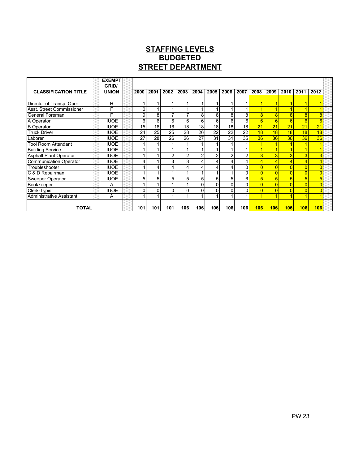## STAFFING LEVELS STREET DEPARTMENT **BUDGETED**

|                                 | <b>EXEMPT</b><br>GRID/ |                |                 |      |                 |                 |                |                |                 |      |          |          |                |                |  |
|---------------------------------|------------------------|----------------|-----------------|------|-----------------|-----------------|----------------|----------------|-----------------|------|----------|----------|----------------|----------------|--|
| <b>CLASSIFICATION TITLE</b>     | <b>UNION</b>           | 2000           | 2001            | 2002 | 2003            | 2004            | 2005           | 2006           | 2007            | 2008 | 2009     | 2010     | 2011           | 2012           |  |
|                                 |                        |                |                 |      |                 |                 |                |                |                 |      |          |          |                |                |  |
| Director of Transp. Oper.       | н                      |                |                 |      |                 |                 |                |                |                 |      |          |          |                |                |  |
| Asst. Street Commissioner       | F                      | $\Omega$       |                 |      |                 |                 |                |                |                 |      |          |          |                |                |  |
| General Foreman                 | F                      | $\overline{9}$ | 8 <sup>1</sup>  |      |                 | 8               | 8              | 8              | 8               |      |          | ۶        | $\overline{8}$ |                |  |
| A Operator                      | <b>IUOE</b>            | 6              | 6 <sup>1</sup>  | 6    | 6 <sup>1</sup>  | 6               | 6              | 6              | 6 <sup>1</sup>  | 6    | 6        | 6        | 6              | 6              |  |
| <b>B</b> Operator               | <b>IUOE</b>            | 15             | 16 <sup>1</sup> | 16   | 18 <sup>1</sup> | 18 <sub>h</sub> | 18             | 18             | 18 <sup>1</sup> | 21   | 21       | 21       | 21             | 21             |  |
| <b>Truck Driver</b>             | <b>IUOE</b>            | 24             | 25              | 25   | 28              | 26              | 22             | 22             | $2\overline{2}$ | 18   | 18       | 18       | 18             | 18             |  |
| Laborer                         | <b>IUOE</b>            | 27             | 28              | 26   | 26              | 27              | 31             | 31             | 35              | 36   | 36       | 36       | 36             | 36             |  |
| <b>Tool Room Attendant</b>      | <b>IUOE</b>            |                |                 |      |                 |                 |                |                |                 |      |          |          |                |                |  |
| <b>Building Service</b>         | <b>IUOE</b>            |                |                 |      |                 |                 |                |                |                 |      |          |          |                |                |  |
| <b>Asphalt Plant Operator</b>   | <b>IUOE</b>            |                |                 |      | 2               | 2               | $\overline{2}$ | $\overline{c}$ | ົ               |      | 3        |          | 3              |                |  |
| <b>Communication Operator I</b> | <b>IUOE</b>            |                |                 | 3    | $\overline{3}$  |                 | 4              | 4              | 41              |      |          |          | $\overline{4}$ |                |  |
| Troubleshooter                  | <b>IUOE</b>            | 4              | 4               |      |                 |                 | 4              | 4              | ΩI              |      |          |          | $\overline{0}$ |                |  |
| C & D Repairman                 | <b>IUOE</b>            |                |                 |      |                 |                 |                |                | $\Omega$        |      |          |          | $\overline{0}$ |                |  |
| Sweeper Operator                | <b>IUOE</b>            | 5 <sub>1</sub> | 5 <sup>1</sup>  | 5    | 51              | 5               | 5              | 5 <sup>1</sup> | 6 <sup>1</sup>  |      | 5        | 5        | 5 <sup>1</sup> |                |  |
| <b>Bookkeeper</b>               | A                      |                |                 |      |                 | 0               | $\Omega$       | $\Omega$       | $\Omega$        |      | $\Omega$ | $\Omega$ | 0              | $\overline{0}$ |  |
| Clerk-Typist                    | <b>IUOE</b>            | $\Omega$       | $\Omega$        |      |                 |                 | $\Omega$       | $\Omega$       | $\Omega$        |      |          |          | $\overline{0}$ | $\overline{0}$ |  |
| Administrative Assistant        | A                      |                |                 |      |                 |                 |                |                |                 |      |          |          |                |                |  |
| TOTAL                           |                        | 101            | <b>101l</b>     | 101  | 106             | 106l            | 106l           | 106I           | 106I            | 106  | 106      | 106      | 106            | 106            |  |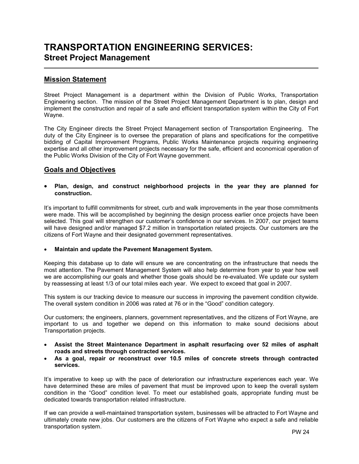# TRANSPORTATION ENGINEERING SERVICES: Street Project Management

### Mission Statement

Street Project Management is a department within the Division of Public Works, Transportation Engineering section. The mission of the Street Project Management Department is to plan, design and implement the construction and repair of a safe and efficient transportation system within the City of Fort Wayne.

The City Engineer directs the Street Project Management section of Transportation Engineering. The duty of the City Engineer is to oversee the preparation of plans and specifications for the competitive bidding of Capital Improvement Programs, Public Works Maintenance projects requiring engineering expertise and all other improvement projects necessary for the safe, efficient and economical operation of the Public Works Division of the City of Fort Wayne government.

### Goals and Objectives

#### • Plan, design, and construct neighborhood projects in the year they are planned for construction.

It's important to fulfill commitments for street, curb and walk improvements in the year those commitments were made. This will be accomplished by beginning the design process earlier once projects have been selected. This goal will strengthen our customer's confidence in our services. In 2007, our project teams will have designed and/or managed \$7.2 million in transportation related projects. Our customers are the citizens of Fort Wayne and their designated government representatives.

#### • Maintain and update the Pavement Management System.

Keeping this database up to date will ensure we are concentrating on the infrastructure that needs the most attention. The Pavement Management System will also help determine from year to year how well we are accomplishing our goals and whether those goals should be re-evaluated. We update our system by reassessing at least 1/3 of our total miles each year. We expect to exceed that goal in 2007.

This system is our tracking device to measure our success in improving the pavement condition citywide. The overall system condition in 2006 was rated at 76 or in the "Good" condition category.

Our customers; the engineers, planners, government representatives, and the citizens of Fort Wayne, are important to us and together we depend on this information to make sound decisions about Transportation projects.

- Assist the Street Maintenance Department in asphalt resurfacing over 52 miles of asphalt roads and streets through contracted services.
- As a goal, repair or reconstruct over 10.5 miles of concrete streets through contracted services.

It's imperative to keep up with the pace of deterioration our infrastructure experiences each year. We have determined these are miles of pavement that must be improved upon to keep the overall system condition in the "Good" condition level. To meet our established goals, appropriate funding must be dedicated towards transportation related infrastructure.

If we can provide a well-maintained transportation system, businesses will be attracted to Fort Wayne and ultimately create new jobs. Our customers are the citizens of Fort Wayne who expect a safe and reliable transportation system.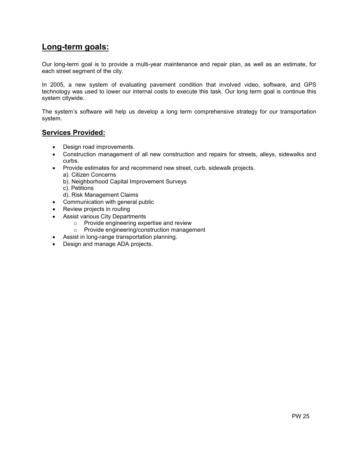## Long-term goals:

Our long-term goal is to provide a multi-year maintenance and repair plan, as well as an estimate, for each street segment of the city.

In 2005, a new system of evaluating pavement condition that involved video, software, and GPS technology was used to lower our internal costs to execute this task. Our long term goal is continue this system citywide.

The system's software will help us develop a long term comprehensive strategy for our transportation system.

### Services Provided:

- Design road improvements.
- Construction management of all new construction and repairs for streets, alleys, sidewalks and curbs.
- Provide estimates for and recommend new street, curb, sidewalk projects.
	- a). Citizen Concerns
	- b). Neighborhood Capital Improvement Surveys
	- c). Petitions
	- d). Risk Management Claims
- Communication with general public
- Review projects in routing
- Assist various City Departments
	- o Provide engineering expertise and review
	- o Provide engineering/construction management
- Assist in long-range transportation planning.
- Design and manage ADA projects.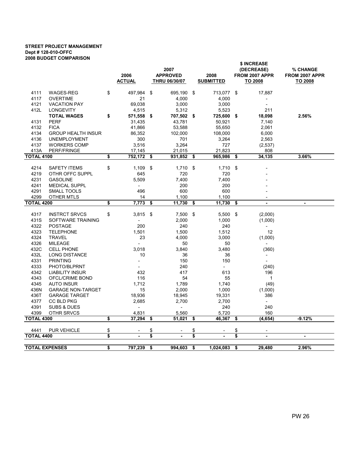#### STREET PROJECT MANAGEMENT Dept # 128-010-OFFC 2008 BUDGET COMPARISON

|                           | <b>DUDULI VUIIIFAINUUI</b>             |          | 2006<br><b>ACTUAL</b>           |          | 2007<br><b>APPROVED</b><br>THRU 06/30/07 |          | 2008<br><b>SUBMITTED</b> |          | \$ INCREASE<br>(DECREASE)<br>FROM 2007 APPR<br>TO 2008 | % CHANGE<br>FROM 2007 APPR<br>TO 2008 |  |
|---------------------------|----------------------------------------|----------|---------------------------------|----------|------------------------------------------|----------|--------------------------|----------|--------------------------------------------------------|---------------------------------------|--|
| 4111                      | WAGES-REG                              | \$       | 497,984                         | \$       | 695,190                                  | \$       | 713,077                  | \$       | 17,887                                                 |                                       |  |
| 4117                      | <b>OVERTIME</b>                        |          | 21                              |          | 4,000                                    |          | 4,000                    |          |                                                        |                                       |  |
| 4121                      | <b>VACATION PAY</b>                    |          | 69,038                          |          | 3,000                                    |          | 3,000                    |          | $\frac{1}{2}$                                          |                                       |  |
| 412L                      | <b>LONGEVITY</b>                       |          | 4,515                           |          | 5,312                                    |          | 5,523                    |          | 211                                                    |                                       |  |
|                           | <b>TOTAL WAGES</b>                     | \$       | 571,558                         | -\$      | 707,502                                  | - \$     | 725,600                  | \$       | 18,098                                                 | 2.56%                                 |  |
| 4131                      | <b>PERF</b>                            |          | 31,435                          |          | 43,781                                   |          | 50,921                   |          | 7,140                                                  |                                       |  |
| 4132                      | <b>FICA</b>                            |          | 41,866                          |          | 53,588                                   |          | 55,650                   |          | 2,061                                                  |                                       |  |
| 4134                      | <b>GROUP HEALTH INSUR</b>              |          | 86,352                          |          | 102,000                                  |          | 108,000                  |          | 6,000                                                  |                                       |  |
| 4136                      | <b>UNEMPLOYMENT</b>                    |          | 300                             |          | 701                                      |          | 3,264                    |          | 2,563                                                  |                                       |  |
| 4137                      | <b>WORKERS COMP</b>                    |          | 3,516                           |          | 3,264                                    |          | 727                      |          | (2,537)                                                |                                       |  |
| 413A                      | PERF/FRINGE                            |          | 17,145                          |          | 21,015                                   |          | 21,823                   |          | 808                                                    |                                       |  |
| <b>TOTAL 4100</b>         |                                        | \$       | 752,172                         | \$       | 931,852                                  | \$       | 965,986                  | \$       | 34,135                                                 | 3.66%                                 |  |
|                           |                                        |          |                                 |          |                                          |          |                          |          |                                                        |                                       |  |
| 4214<br>4219              | <b>SAFETY ITEMS</b><br>OTHR OFFC SUPPL | \$       | 1,109<br>645                    | \$       | 1,710 \$<br>720                          |          | 1,710<br>720             | \$       |                                                        |                                       |  |
| 4231                      | <b>GASOLINE</b>                        |          |                                 |          |                                          |          |                          |          |                                                        |                                       |  |
| 4241                      | <b>MEDICAL SUPPL</b>                   |          | 5,509                           |          | 7,400<br>200                             |          | 7,400<br>200             |          |                                                        |                                       |  |
| 4291                      | SMALL TOOLS                            |          | $\overline{\phantom{a}}$<br>496 |          | 600                                      |          | 600                      |          |                                                        |                                       |  |
| 4299                      | <b>OTHER MTLS</b>                      |          | 14                              |          | 1,100                                    |          | 1,100                    |          |                                                        |                                       |  |
| <b>TOTAL 4200</b>         |                                        | \$       | 7,773                           | \$       | 11,730                                   | \$       | 11,730                   | \$       |                                                        | $\sim$                                |  |
|                           |                                        |          |                                 |          |                                          |          |                          |          |                                                        |                                       |  |
| 4317                      | <b>INSTRCT SRVCS</b>                   | \$       | 3,815                           | -\$      | 7,500                                    | \$       | 5,500                    | \$       | (2,000)                                                |                                       |  |
| 431S                      | SOFTWARE TRAINING                      |          |                                 |          | 2,000                                    |          | 1,000                    |          | (1,000)                                                |                                       |  |
| 4322                      | <b>POSTAGE</b>                         |          | 200                             |          | 240                                      |          | 240                      |          |                                                        |                                       |  |
| 4323                      | <b>TELEPHONE</b>                       |          | 1,501                           |          | 1,500                                    |          | 1,512                    |          | 12                                                     |                                       |  |
| 4324                      | <b>TRAVEL</b>                          |          | 23                              |          | 4,000                                    |          | 3,000                    |          | (1,000)                                                |                                       |  |
| 4326                      | <b>MILEAGE</b>                         |          | $\overline{a}$                  |          | 50                                       |          | 50                       |          |                                                        |                                       |  |
| 432C                      | <b>CELL PHONE</b>                      |          | 3,018                           |          | 3,840                                    |          | 3,480                    |          | (360)                                                  |                                       |  |
| 432L                      | <b>LONG DISTANCE</b>                   |          | 10                              |          | 36                                       |          | 36                       |          | $\overline{\phantom{m}}$                               |                                       |  |
| 4331                      | <b>PRINTING</b>                        |          |                                 |          | 150                                      |          | 150                      |          | $\overline{\phantom{a}}$                               |                                       |  |
| 4333                      | PHOTO/BLPRNT                           |          |                                 |          | 240                                      |          | $\overline{\phantom{0}}$ |          | (240)                                                  |                                       |  |
| 4342                      | <b>LIABILITY INSUR</b>                 |          | 432                             |          | 417                                      |          | 613                      |          | 196                                                    |                                       |  |
| 4343                      | OFCL/CRIME BOND                        |          | 116                             |          | 54                                       |          | 55                       |          | $\mathbf{1}$                                           |                                       |  |
| 4345                      | <b>AUTO INSUR</b>                      |          | 1,712                           |          | 1,789                                    |          | 1,740                    |          | (49)                                                   |                                       |  |
| 436N                      | <b>GARAGE NON-TARGET</b>               |          | 15                              |          | 2,000                                    |          | 1,000                    |          | (1,000)                                                |                                       |  |
| 436T                      | <b>GARAGE TARGET</b>                   |          | 18,936                          |          | 18,945                                   |          | 19,331                   |          | 386                                                    |                                       |  |
| 4377                      | CC BLD PKG                             |          | 2,685                           |          | 2,700                                    |          | 2,700                    |          | $\overline{\phantom{a}}$                               |                                       |  |
| 4391                      | <b>SUBS &amp; DUES</b>                 |          | $\overline{\phantom{a}}$        |          |                                          |          | 240                      |          | 240                                                    |                                       |  |
| 4399                      | <b>OTHR SRVCS</b>                      |          | 4,831                           |          | 5,560                                    |          | 5,720                    |          | 160                                                    |                                       |  |
| <b>TOTAL 4300</b>         |                                        | \$       | 37,294                          | \$       | 51,021                                   | \$       | 46,367                   | \$       | (4, 654)                                               | $-9.12%$                              |  |
|                           |                                        |          |                                 |          |                                          |          |                          |          |                                                        |                                       |  |
| 4441<br><b>TOTAL 4400</b> | <b>PUR VEHICLE</b>                     | \$<br>\$ |                                 | \$<br>\$ |                                          | \$<br>\$ |                          | \$<br>\$ | ä,                                                     | $\blacksquare$                        |  |
|                           |                                        |          |                                 |          |                                          |          |                          |          |                                                        |                                       |  |
|                           | <b>TOTAL EXPENSES</b>                  | \$       | 797,239                         | \$       | 994,603                                  | \$       | 1,024,083                | \$       | 29,480                                                 | 2.96%                                 |  |
|                           |                                        |          |                                 |          |                                          |          |                          |          |                                                        |                                       |  |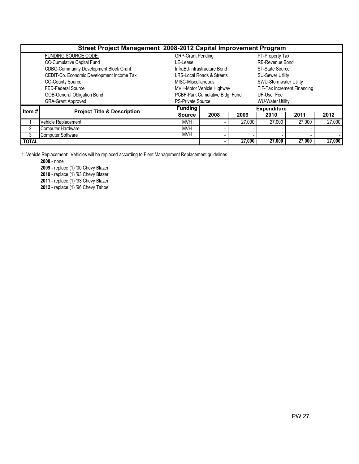|              | Street Project Management 2008-2012 Capital Improvement Program |                          |                                      |        |                             |        |        |  |  |  |
|--------------|-----------------------------------------------------------------|--------------------------|--------------------------------------|--------|-----------------------------|--------|--------|--|--|--|
|              | <b>FUNDING SOURCE CODE:</b>                                     | <b>GRP-Grant Pending</b> |                                      |        | PT-Property Tax             |        |        |  |  |  |
|              | CC-Cumulative Capital Fund                                      | LE-Lease                 |                                      |        | RB-Revenue Bond             |        |        |  |  |  |
|              | <b>CDBG-Community Development Block Grant</b>                   |                          | InfraBd-Infrastructure Bond          |        | <b>ST-State Source</b>      |        |        |  |  |  |
|              | CEDIT-Co. Economic Development Income Tax                       |                          | <b>LRS-Local Roads &amp; Streets</b> |        | <b>SU-Sewer Utility</b>     |        |        |  |  |  |
|              | <b>CO-County Source</b>                                         | MISC-Miscellaneous       |                                      |        | SWU-Stormwater Utility      |        |        |  |  |  |
|              | FED-Federal Source                                              |                          | MVH-Motor Vehicle Highway            |        | TIF-Tax Increment Financing |        |        |  |  |  |
|              | <b>GOB-General Obligation Bond</b>                              |                          | PCBF-Park Cumulative Bldg. Fund      |        | UF-User Fee                 |        |        |  |  |  |
|              | <b>GRA-Grant Approved</b>                                       | <b>PS-Private Source</b> |                                      |        | <b>WU-Water Utility</b>     |        |        |  |  |  |
| Item $#$     | <b>Project Title &amp; Description</b>                          | <b>Funding</b>           |                                      |        | <b>Expenditure</b>          |        |        |  |  |  |
|              |                                                                 | <b>Source</b>            | 2008                                 | 2009   | 2010                        | 2011   | 2012   |  |  |  |
|              | Vehicle Replacement                                             | <b>MVH</b>               |                                      | 27,000 | 27,000                      | 27,000 | 27,000 |  |  |  |
|              | <b>Computer Hardware</b>                                        | <b>MVH</b>               |                                      |        |                             |        |        |  |  |  |
| 3            | <b>Computer Software</b>                                        | <b>MVH</b>               |                                      |        |                             |        |        |  |  |  |
| <b>TOTAL</b> |                                                                 |                          |                                      | 27,000 | 27,000                      | 27,000 | 27,000 |  |  |  |

1. Vehicle Replacement: Vehicles will be replaced according to Fleet Management Replacement guidelines

2008 - none

2009 - replace (1) '00 Chevy Blazer

2010 - replace (1) '93 Chevy Blazer

2011 - replace (1) '93 Chevy Blazer

2012 - replace (1) '96 Chevy Tahoe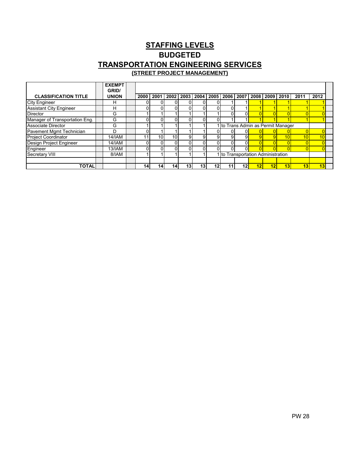### STAFFING LEVELS BUDGETED TRANSPORTATION ENGINEERING SERVICES **(STREET PROJECT MANAGEMENT)**

|                                | <b>EXEMPT</b><br>GRID/ |                 |                 |             |                 |          |      |    |                                    |    |                                    |                 |                 |                 |  |
|--------------------------------|------------------------|-----------------|-----------------|-------------|-----------------|----------|------|----|------------------------------------|----|------------------------------------|-----------------|-----------------|-----------------|--|
| <b>CLASSIFICATION TITLE</b>    | <b>UNION</b>           | 2000            | 2001            | <b>2002</b> | 2003            | l 2004 l | 2005 |    | 2006 2007                          |    | 2008 2009                          | 2010            | 201'            | 2012            |  |
| <b>City Engineer</b>           | н                      |                 |                 | 0           |                 |          |      |    |                                    |    |                                    |                 |                 |                 |  |
| <b>Assistant City Engineer</b> | н                      |                 |                 | ΩI          | 01              |          |      | n١ |                                    |    |                                    |                 |                 |                 |  |
| <b>Director</b>                | G                      |                 |                 |             |                 |          |      | n١ | υı                                 |    |                                    |                 |                 |                 |  |
| Manager of Transportation Eng. | G                      |                 |                 | ΩI          | ٥I              |          |      |    |                                    |    |                                    |                 |                 |                 |  |
| <b>Associate Director</b>      | G                      |                 |                 |             |                 |          |      |    | 1 to Trans Admin as Permit Manager |    |                                    |                 |                 |                 |  |
| Pavement Mgmt Technician       | D                      |                 |                 |             |                 |          |      |    |                                    |    |                                    |                 |                 |                 |  |
| <b>Project Coordinator</b>     | <b>14/IAM</b>          |                 | 10 <sub>1</sub> | 10I         | 91              | 91       |      | 91 |                                    |    |                                    | 10 <sub>1</sub> | 10 <sub>1</sub> | 10              |  |
| Design Project Engineer        | 14/IAM                 |                 |                 | 01          | 01              | ωı       |      | ΩI | ΩI                                 |    |                                    |                 |                 |                 |  |
| Engineer                       | <b>13/IAM</b>          |                 |                 | $\Omega$    | 01              |          |      | ΩI | 01                                 |    |                                    | $\Omega$        |                 |                 |  |
| Secretary VIII                 | 8/IAM                  |                 |                 |             |                 |          |      |    |                                    |    | 1 to Transportation Administration |                 |                 |                 |  |
|                                |                        |                 |                 |             |                 |          |      |    |                                    |    |                                    |                 |                 |                 |  |
| <b>TOTAL</b>                   |                        | 14 <sub>1</sub> | 14 <sub>1</sub> | 141         | 13 <sub>1</sub> | 13       | 12   |    | 12                                 | 12 | 12                                 | $\overline{13}$ | 13              | $\overline{13}$ |  |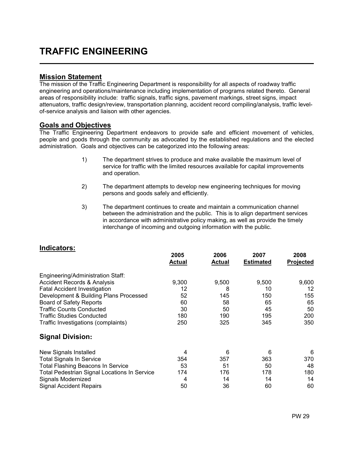# TRAFFIC ENGINEERING

### Mission Statement

L

The mission of the Traffic Engineering Department is responsibility for all aspects of roadway traffic engineering and operations/maintenance including implementation of programs related thereto. General areas of responsibility include: traffic signals, traffic signs, pavement markings, street signs, impact attenuators, traffic design/review, transportation planning, accident record compiling/analysis, traffic levelof-service analysis and liaison with other agencies.

### Goals and Objectives

The Traffic Engineering Department endeavors to provide safe and efficient movement of vehicles, people and goods through the community as advocated by the established regulations and the elected administration. Goals and objectives can be categorized into the following areas:

- 1) The department strives to produce and make available the maximum level of service for traffic with the limited resources available for capital improvements and operation.
- 2) The department attempts to develop new engineering techniques for moving persons and goods safely and efficiently.
- 3) The department continues to create and maintain a communication channel between the administration and the public. This is to align department services in accordance with administrative policy making, as well as provide the timely interchange of incoming and outgoing information with the public.

|                                                     | 2005<br><b>Actual</b> | 2006<br>Actual | 2007<br><b>Estimated</b> | 2008<br>Projected |
|-----------------------------------------------------|-----------------------|----------------|--------------------------|-------------------|
| Engineering/Administration Staff:                   |                       |                |                          |                   |
| <b>Accident Records &amp; Analysis</b>              | 9,300                 | 9,500          | 9,500                    | 9,600             |
| <b>Fatal Accident Investigation</b>                 | 12                    | 8              | 10                       | 12                |
| Development & Building Plans Processed              | 52                    | 145            | 150                      | 155               |
| <b>Board of Safety Reports</b>                      | 60                    | 58             | 65                       | 65                |
| <b>Traffic Counts Conducted</b>                     | 30                    | 50             | 45                       | 50                |
| <b>Traffic Studies Conducted</b>                    | 180                   | 190            | 195                      | 200               |
| Traffic Investigations (complaints)                 | 250                   | 325            | 345                      | 350               |
| <b>Signal Division:</b>                             |                       |                |                          |                   |
| New Signals Installed                               | 4                     | 6              | 6                        | 6                 |
| <b>Total Signals In Service</b>                     | 354                   | 357            | 363                      | 370               |
| <b>Total Flashing Beacons In Service</b>            | 53                    | 51             | 50                       | 48                |
| <b>Total Pedestrian Signal Locations In Service</b> | 174                   | 176            | 178                      | 180               |
| Signals Modernized                                  | 4                     | 14             | 14                       | 14                |
| <b>Signal Accident Repairs</b>                      | 50                    | 36             | 60                       | 60                |

### Indicators: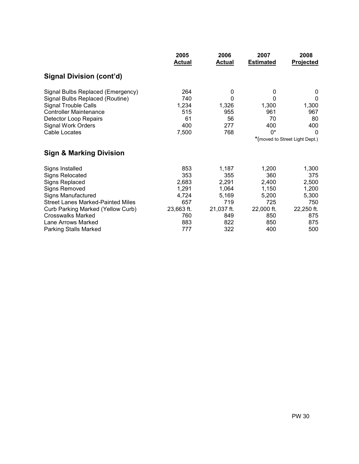|                                          | 2005<br><b>Actual</b> | 2006<br><b>Actual</b> | 2007<br><b>Estimated</b>       | 2008<br><b>Projected</b> |
|------------------------------------------|-----------------------|-----------------------|--------------------------------|--------------------------|
| Signal Division (cont'd)                 |                       |                       |                                |                          |
| Signal Bulbs Replaced (Emergency)        | 264                   | 0                     | 0                              | 0                        |
| Signal Bulbs Replaced (Routine)          | 740                   | 0                     | 0                              | $\mathbf{0}$             |
| Signal Trouble Calls                     | 1,234                 | 1,326                 | 1,300                          | 1,300                    |
| <b>Controller Maintenance</b>            | 515                   | 955                   | 961                            | 967                      |
| Detector Loop Repairs                    | 61                    | 56                    | 70                             | 80                       |
| <b>Signal Work Orders</b>                | 400                   | 277                   | 400                            | 400                      |
| Cable Locates                            | 7,500                 | 768                   | $0^*$                          | $\Omega$                 |
|                                          |                       |                       | *(moved to Street Light Dept.) |                          |
| <b>Sign &amp; Marking Division</b>       |                       |                       |                                |                          |
| Signs Installed                          | 853                   | 1,187                 | 1,200                          | 1,300                    |
| Signs Relocated                          | 353                   | 355                   | 360                            | 375                      |
| Signs Replaced                           | 2,683                 | 2,291                 | 2,400                          | 2,500                    |
| <b>Signs Removed</b>                     | 1,291                 | 1,064                 | 1,150                          | 1,200                    |
| <b>Signs Manufactured</b>                | 4,724                 | 5,169                 | 5,200                          | 5,300                    |
| <b>Street Lanes Marked-Painted Miles</b> | 657                   | 719                   | 725                            | 750                      |
| Curb Parking Marked (Yellow Curb)        | 23,663 ft.            | 21,037 ft.            | 22,000 ft.                     | 22,250 ft.               |
| <b>Crosswalks Marked</b>                 | 760                   | 849                   | 850                            | 875                      |
| Lane Arrows Marked                       | 883                   | 822                   | 850                            | 875                      |
| <b>Parking Stalls Marked</b>             | 777                   | 322                   | 400                            | 500                      |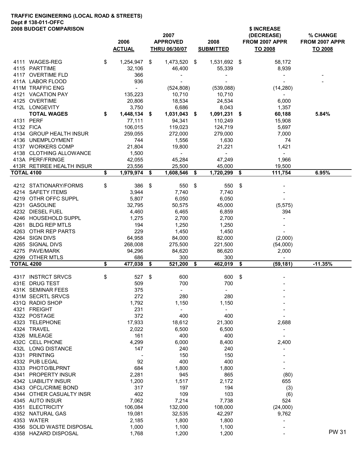#### TRAFFIC ENGINEERING (LOCAL ROAD & STREETS) Dept # 138-011-OFFC 2008 BUDGET COMPARISON **\$ INCREASE**

|                   | ZUU0 DUDUET CUMPARISUN              |                    | 2007               |                    |     | <b>SINGREASE</b><br>(DECREASE) | % CHANGE       |
|-------------------|-------------------------------------|--------------------|--------------------|--------------------|-----|--------------------------------|----------------|
|                   |                                     | 2006               | <b>APPROVED</b>    | 2008               |     | FROM 2007 APPR                 | FROM 2007 APPR |
|                   |                                     | <b>ACTUAL</b>      | THRU 06/30/07      | <b>SUBMITTED</b>   |     | <b>TO 2008</b>                 | TO 2008        |
|                   | 4111 WAGES-REG                      | \$<br>1,254,947    | \$<br>1,473,520 \$ | 1,531,692 \$       |     | 58,172                         |                |
|                   | 4115 PARTTIME                       | 32,106             | 46,400             | 55,339             |     | 8,939                          |                |
|                   | 4117 OVERTIME FLD                   | 366                |                    |                    |     |                                |                |
|                   | 411A LABOR FLOOD                    | 936                |                    |                    |     |                                |                |
|                   | 411M TRAFFIC ENG                    | $\blacksquare$     | (524, 808)         | (539,088)          |     | (14, 280)                      |                |
|                   | 4121 VACATION PAY                   | 135,223            | 10,710             | 10,710             |     | $\sim$                         |                |
|                   | 4125 OVERTIME                       | 20,806             | 18,534             | 24,534             |     | 6,000                          |                |
|                   | 412L LONGEVITY                      | 3,750              | 6,686              | 8,043              |     | 1,357                          |                |
|                   | <b>TOTAL WAGES</b>                  | \$<br>1,448,134 \$ | 1,031,043 \$       | 1,091,231 \$       |     | 60,188                         | 5.84%          |
| 4132 FICA         | 4131 PERF                           | 77,111<br>106,015  | 94,341             | 110,249            |     | 15,908                         |                |
|                   | 4134 GROUP HEALTH INSUR             | 259,055            | 119,023<br>272,000 | 124,719<br>279,000 |     | 5,697<br>7,000                 |                |
|                   | 4136 UNEMPLOYMENT                   | 744                | 1,556              | 1,630              |     | 74                             |                |
|                   | 4137 WORKERS COMP                   | 21,804             | 19,800             | 21,221             |     | 1,421                          |                |
|                   | 4138 CLOTHING ALLOWANCE             | 1,500              | $\blacksquare$     |                    |     | $\sim$                         |                |
|                   | 413A PERF/FRINGE                    | 42,055             | 45,284             | 47,249             |     | 1,966                          |                |
|                   | 413R RETIREE HEALTH INSUR           | 23,556             | 25,500             | 45,000             |     | 19,500                         |                |
| <b>TOTAL 4100</b> |                                     | \$<br>1,979,974    | \$<br>1,608,546    | \$<br>1,720,299    | -\$ | 111,754                        | 6.95%          |
|                   | 4212 STATIONARY/FORMS               | \$<br>386          | \$<br>550          | \$<br>550          | -\$ |                                |                |
|                   | 4214 SAFETY ITEMS                   | 3,944              | 7,740              | 7,740              |     |                                |                |
|                   | 4219 OTHR OFFC SUPPL                | 5,807              | 6,050              | 6,050              |     |                                |                |
|                   | 4231 GASOLINE                       | 32,795             | 50,575             | 45,000             |     | (5, 575)                       |                |
|                   | 4232 DIESEL FUEL                    | 4,460              | 6,465              | 6,859              |     | 394                            |                |
|                   | 4246 HOUSEHOLD SUPPL                | 1,275              | 2,700              | 2,700              |     |                                |                |
|                   | 4261 BLDG REP MTLS                  | 194                | 1,250              | 1,250              |     |                                |                |
|                   | 4263 OTHR REP PARTS                 | 229                | 1,450              | 1,450              |     |                                |                |
|                   | 4264 SIGN DIVS                      | 64,958             | 84,000             | 82,000             |     | (2,000)                        |                |
|                   | 4265 SIGNAL DIVS                    | 268,008            | 275,500            | 221,500            |     | (54,000)                       |                |
|                   | 4275 PAVE/MARK                      | 94,296             | 84,620             | 86,620             |     | 2,000                          |                |
|                   | 4299 OTHER MTLS                     | 686                | 300                | 300                |     | $\sim$                         |                |
| <b>TOTAL 4200</b> |                                     | \$<br>477,038      | \$<br>521,200      | \$<br>462,019      | \$  | (59, 181)                      | $-11.35%$      |
|                   | 4317 INSTRCT SRVCS                  | \$<br>527          | \$<br>600          | 600                | \$  |                                |                |
|                   | 431E DRUG TEST                      | 509                | 700                | 700                |     |                                |                |
|                   | 431K SEMINAR FEES                   | 375                |                    |                    |     |                                |                |
|                   | 431M SECRTL SRVCS                   | 272                | 280                | 280                |     |                                |                |
|                   | 431Q RADIO SHOP                     | 1,792              | 1,150              | 1,150              |     |                                |                |
|                   | 4321 FREIGHT                        | 231                | $\blacksquare$     | $\blacksquare$     |     |                                |                |
|                   | 4322 POSTAGE                        | 372                | 400                | 400                |     |                                |                |
|                   | 4323 TELEPHONE                      | 17,933             | 18,612             | 21,300             |     | 2,688                          |                |
|                   | 4324 TRAVEL                         | 2,022              | 6,500              | 6,500              |     | $\overline{\phantom{a}}$       |                |
|                   | 4326 MILEAGE                        | 161                | 400                | 400                |     |                                |                |
|                   | 432C CELL PHONE                     | 4,299              | 6,000              | 8,400              |     | 2,400                          |                |
|                   | 432L LONG DISTANCE<br>4331 PRINTING | 147                | 240<br>150         | 240                |     |                                |                |
|                   | 4332 PUB LEGAL                      | 92                 | 400                | 150<br>400         |     |                                |                |
|                   | 4333 PHOTO/BLPRNT                   | 684                | 1,800              | 1,800              |     |                                |                |
| 4341              | <b>PROPERTY INSUR</b>               | 2,281              | 945                | 865                |     | (80)                           |                |
|                   | 4342 LIABILITY INSUR                | 1,200              | 1,517              | 2,172              |     | 655                            |                |
| 4343              | OFCL/CRIME BOND                     | 317                | 197                | 194                |     | (3)                            |                |
| 4344              | OTHER CASUALTY INSR                 | 402                | 109                | 103                |     | (6)                            |                |
|                   | 4345 AUTO INSUR                     | 7,062              | 7,214              | 7,738              |     | 524                            |                |
|                   | 4351 ELECTRICITY                    | 106,084            | 132,000            | 108,000            |     | (24,000)                       |                |
|                   | 4352 NATURAL GAS                    | 19,081             | 32,535             | 42,297             |     | 9,762                          |                |
|                   |                                     |                    |                    |                    |     |                                |                |
|                   |                                     |                    |                    |                    |     | $\overline{a}$                 |                |
| 4356              | 4353 WATER<br>SOLID WASTE DISPOSAL  | 2,185              | 1,800              | 1,800              |     |                                |                |
|                   | 4358 HAZARD DISPOSAL                | 1,000<br>1,768     | 1,100<br>1,200     | 1,100<br>1,200     |     |                                | <b>PW31</b>    |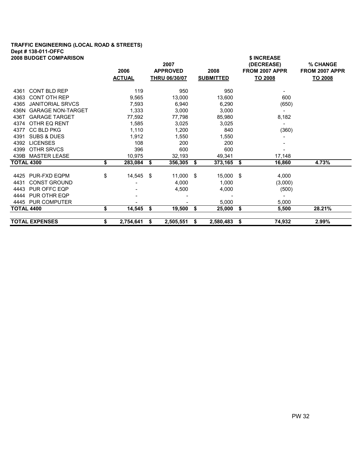## TRAFFIC ENGINEERING (LOCAL ROAD & STREETS) Dept # 138-011-OFFC

| <b>2008 BUDGET COMPARISON</b>  |                 |      |                      |                  | \$ INCREASE    |         |                |
|--------------------------------|-----------------|------|----------------------|------------------|----------------|---------|----------------|
|                                |                 |      | 2007                 |                  | (DECREASE)     |         | % CHANGE       |
|                                | 2006            |      | <b>APPROVED</b>      | 2008             | FROM 2007 APPR |         | FROM 2007 APPR |
|                                | <b>ACTUAL</b>   |      | <b>THRU 06/30/07</b> | <b>SUBMITTED</b> | TO 2008        |         | TO 2008        |
| CONT BLD REP<br>4361           | 119             |      | 950                  | 950              |                |         |                |
| <b>CONT OTH REP</b><br>4363    | 9,565           |      | 13,000               | 13,600           |                | 600     |                |
| 4365 JANITORIAL SRVCS          | 7,593           |      | 6,940                | 6,290            |                | (650)   |                |
| 436N GARAGE NON-TARGET         | 1,333           |      | 3,000                | 3,000            |                |         |                |
| 436T GARAGE TARGET             | 77,592          |      | 77,798               | 85,980           |                | 8,182   |                |
| 4374 OTHR EQ RENT              | 1,585           |      | 3,025                | 3,025            |                |         |                |
| 4377<br><b>CC BLD PKG</b>      | 1,110           |      | 1,200                | 840              |                | (360)   |                |
| <b>SUBS &amp; DUES</b><br>4391 | 1,912           |      | 1,550                | 1,550            |                |         |                |
| <b>LICENSES</b><br>4392        | 108             |      | 200                  | 200              |                |         |                |
| 4399 OTHR SRVCS                | 396             |      | 600                  | 600              |                |         |                |
| 439B MASTER LEASE              | 10,975          |      | 32,193               | 49,341           |                | 17,148  |                |
| <b>TOTAL 4300</b>              | \$<br>283,084   | \$   | 356,305              | \$<br>373,165    | \$             | 16,860  | 4.73%          |
| 4425 PUR-FXD EQPM              | \$<br>14,545    | - \$ | $11,000$ \$          | 15,000 \$        |                | 4,000   |                |
| <b>CONST GROUND</b><br>4431    |                 |      | 4,000                | 1,000            |                | (3,000) |                |
| 4443 PUR OFFC EQP              |                 |      | 4,500                | 4,000            |                | (500)   |                |
| 4444 PUR OTHR EQP              |                 |      |                      |                  |                | $\sim$  |                |
| 4445 PUR COMPUTER              |                 |      |                      | 5,000            |                | 5,000   |                |
| TOTAL 4400                     | \$<br>14,545    | - \$ | 19,500               | \$<br>25,000     | \$             | 5,500   | 28.21%         |
| <b>TOTAL EXPENSES</b>          | \$<br>2,754,641 | \$   | 2,505,551            | \$<br>2,580,483  | \$             | 74,932  | 2.99%          |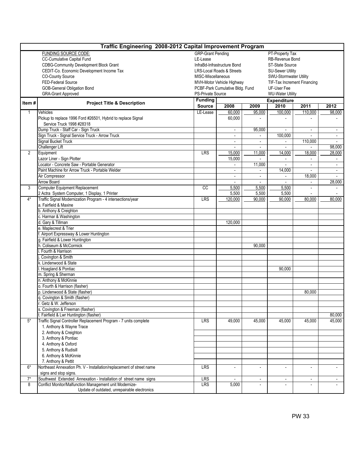|                  | Traffic Engineering 2008-2012 Capital Improvement Program            |                          |                                      |                          |                             |                          |                          |  |  |  |  |
|------------------|----------------------------------------------------------------------|--------------------------|--------------------------------------|--------------------------|-----------------------------|--------------------------|--------------------------|--|--|--|--|
|                  | FUNDING SOURCE CODE:                                                 | <b>GRP-Grant Pending</b> |                                      |                          | PT-Property Tax             |                          |                          |  |  |  |  |
|                  | CC-Cumulative Capital Fund                                           | LE-Lease                 |                                      |                          | RB-Revenue Bond             |                          |                          |  |  |  |  |
|                  | <b>CDBG-Community Development Block Grant</b>                        |                          | InfraBd-Infrastructure Bond          |                          | <b>ST-State Source</b>      |                          |                          |  |  |  |  |
|                  | CEDIT-Co. Economic Development Income Tax                            |                          | <b>LRS-Local Roads &amp; Streets</b> |                          | <b>SU-Sewer Utility</b>     |                          |                          |  |  |  |  |
|                  | <b>CO-County Source</b>                                              | MISC-Miscellaneous       |                                      |                          | SWU-Stormwater Utility      |                          |                          |  |  |  |  |
|                  | FED-Federal Source                                                   |                          | MVH-Motor Vehicle Highway            |                          | TIF-Tax Increment Financing |                          |                          |  |  |  |  |
|                  | <b>GOB-General Obligation Bond</b>                                   |                          | PCBF-Park Cumulative Bldg. Fund      |                          | UF-User Fee                 |                          |                          |  |  |  |  |
|                  | <b>GRA-Grant Approved</b>                                            | PS-Private Source        |                                      |                          | <b>WU-Water Utility</b>     |                          |                          |  |  |  |  |
|                  |                                                                      | <b>Funding</b>           |                                      |                          | <b>Expenditure</b>          |                          |                          |  |  |  |  |
| Item#            | <b>Project Title &amp; Description</b>                               | <b>Source</b>            | 2008                                 | 2009                     | 2010                        | 2011                     | 2012                     |  |  |  |  |
| 1                | Vehicles                                                             | LE-Lease                 | 60.000                               | 95,000                   | 100,000                     | 110.000                  | 98,000                   |  |  |  |  |
|                  | Pickup to replace 1996 Ford #26501, Hybrid to replace Signal         |                          | 60,000                               |                          |                             |                          |                          |  |  |  |  |
|                  | Service Truck 1998 #28318                                            |                          |                                      |                          |                             |                          |                          |  |  |  |  |
|                  | Dump Truck - Staff Car - Sign Truck                                  |                          |                                      | 95,000                   |                             |                          |                          |  |  |  |  |
|                  | Sign Truck - Signal Service Truck - Arrow Truck                      |                          | $\sim$                               | $\blacksquare$           | 100,000                     | $\blacksquare$           | $\sim$                   |  |  |  |  |
|                  | Signal Bucket Truck                                                  |                          |                                      | $\sim$                   | $\overline{\phantom{0}}$    | 110,000                  |                          |  |  |  |  |
|                  | <b>Challenger Lift</b>                                               |                          |                                      |                          |                             |                          | 98,000                   |  |  |  |  |
| $\overline{2}$   | Equipment                                                            | LRS                      | 15,000                               | 11,000                   | 14,000                      | 18,000                   | 28,000                   |  |  |  |  |
|                  | Lazor Liner - Sign Plotter                                           |                          | 15,000                               |                          |                             | $\overline{\phantom{a}}$ |                          |  |  |  |  |
|                  | Locator - Concrete Saw - Portable Generator                          |                          |                                      | 11,000                   |                             |                          |                          |  |  |  |  |
|                  | Paint Machine for Arrow Truck - Portable Welder                      |                          | $\blacksquare$                       | $\overline{\phantom{a}}$ | 14,000                      | $\blacksquare$           | $\overline{\phantom{a}}$ |  |  |  |  |
|                  | Air Compressor                                                       |                          | $\overline{a}$                       | $\blacksquare$           | $\blacksquare$              | 18,000                   | $\sim$                   |  |  |  |  |
|                  | <b>Arrow Board</b>                                                   |                          |                                      |                          |                             | $\blacksquare$           | 28,000                   |  |  |  |  |
| 3                | <b>Computer Equipment Replacement</b>                                | CC                       | 5,500                                | 5,500                    | 5,500                       | $\overline{\phantom{a}}$ |                          |  |  |  |  |
|                  | 2 Actra System Computer, 1 Display, 1 Printer                        |                          | 5,500                                | 5,500                    | 5,500                       |                          |                          |  |  |  |  |
| $4*$             | Traffic Signal Modernization Program - 4 intersections/year          | LRS                      | 120,000                              | 90.000                   | 90,000                      | 80,000                   | 80,000                   |  |  |  |  |
|                  | a. Fairfield & Maxine                                                |                          |                                      |                          |                             |                          |                          |  |  |  |  |
|                  |                                                                      |                          |                                      |                          |                             |                          |                          |  |  |  |  |
|                  | b. Anthony & Creighton                                               |                          |                                      |                          |                             |                          |                          |  |  |  |  |
|                  | c. Harmar & Washington                                               |                          |                                      |                          |                             |                          |                          |  |  |  |  |
|                  | d. Gary & Tillman                                                    |                          | 120,000                              |                          |                             |                          |                          |  |  |  |  |
|                  | e. Maplecrest & Trier                                                |                          |                                      |                          |                             |                          |                          |  |  |  |  |
|                  | Airport Expressway & Lower Huntington                                |                          |                                      |                          |                             |                          |                          |  |  |  |  |
|                  | g. Fairfield & Lower Huntington                                      |                          |                                      |                          |                             |                          |                          |  |  |  |  |
|                  | . Coliseum & McCormick                                               |                          |                                      | 90,000                   |                             |                          |                          |  |  |  |  |
|                  | Fourth & Harrison                                                    |                          |                                      |                          |                             |                          |                          |  |  |  |  |
|                  | Covington & Smith                                                    |                          |                                      |                          |                             |                          |                          |  |  |  |  |
|                  | . Lindenwood & State                                                 |                          |                                      |                          |                             |                          |                          |  |  |  |  |
|                  | Hoagland & Pontiac                                                   |                          |                                      |                          | 90,000                      |                          |                          |  |  |  |  |
|                  | m. Spring & Sherman                                                  |                          |                                      |                          |                             |                          |                          |  |  |  |  |
|                  | n. Anthony & McKinnie                                                |                          |                                      |                          |                             |                          |                          |  |  |  |  |
|                  | o. Fourth & Harrison (flasher)                                       |                          |                                      |                          |                             |                          |                          |  |  |  |  |
|                  | Lindenwood & State (flasher)                                         |                          |                                      |                          |                             | 80,000                   |                          |  |  |  |  |
|                  | Covington & Smith (flasher)                                          |                          |                                      |                          |                             |                          |                          |  |  |  |  |
|                  | Getz & W. Jefferson                                                  |                          |                                      |                          |                             |                          |                          |  |  |  |  |
|                  | Covington & Freeman (flasher)                                        |                          |                                      |                          |                             |                          |                          |  |  |  |  |
|                  | Fairfield & Lwr Huntington (flasher)                                 |                          |                                      |                          |                             |                          | 80,000                   |  |  |  |  |
| $5*$             | Traffic Signal Controller Replacement Program - 7 units complete     | <b>LRS</b>               | 49,000                               | 45,000                   | 45,000                      | 45,000                   | 45,000                   |  |  |  |  |
|                  | 1. Anthony & Wayne Trace                                             |                          |                                      |                          |                             |                          |                          |  |  |  |  |
|                  | 2. Anthony & Creighton                                               |                          |                                      |                          |                             |                          |                          |  |  |  |  |
|                  | 3. Anthony & Pontiac                                                 |                          |                                      |                          |                             |                          |                          |  |  |  |  |
|                  | 4. Anthony & Oxford                                                  |                          |                                      |                          |                             |                          |                          |  |  |  |  |
|                  | 5. Anthony & Rudisill                                                |                          |                                      |                          |                             |                          |                          |  |  |  |  |
|                  | 6. Anthony & McKinnie                                                |                          |                                      |                          |                             |                          |                          |  |  |  |  |
|                  | 7. Anthony & Pettit                                                  |                          |                                      |                          |                             |                          |                          |  |  |  |  |
| $6*$             | Northeast Annexation Ph. V - Installation/replacement of street name | <b>LRS</b>               | $\blacksquare$                       | $\overline{a}$           | $\overline{a}$              | $\blacksquare$           | $\overline{\phantom{0}}$ |  |  |  |  |
|                  | signs and stop signs.                                                |                          |                                      |                          |                             |                          |                          |  |  |  |  |
| $\overline{7}^*$ | Southwest Extended Annexation - Installation of street name signs    | <b>LRS</b>               |                                      | $\overline{\phantom{a}}$ | $\overline{\phantom{a}}$    | $\overline{\phantom{a}}$ | $\overline{\phantom{a}}$ |  |  |  |  |
| 8                | Conflict Monitor/Malfunction Management unit Modernize-              | <b>LRS</b>               | 5,000                                |                          |                             |                          |                          |  |  |  |  |
|                  | Update of outdated, unrepairable electronics                         |                          |                                      |                          |                             |                          |                          |  |  |  |  |
|                  |                                                                      |                          |                                      |                          |                             |                          |                          |  |  |  |  |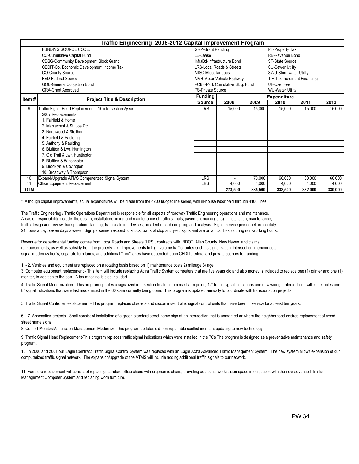|              | Traffic Engineering 2008-2012 Capital Improvement Program |                          |                                      |         |                             |         |         |  |  |  |
|--------------|-----------------------------------------------------------|--------------------------|--------------------------------------|---------|-----------------------------|---------|---------|--|--|--|
|              | FUNDING SOURCE CODE:                                      | <b>GRP-Grant Pending</b> |                                      |         | PT-Property Tax             |         |         |  |  |  |
|              | <b>CC-Cumulative Capital Fund</b>                         | LE-Lease                 |                                      |         | RB-Revenue Bond             |         |         |  |  |  |
|              | <b>CDBG-Community Development Block Grant</b>             |                          | InfraBd-Infrastructure Bond          |         | ST-State Source             |         |         |  |  |  |
|              | CEDIT-Co. Economic Development Income Tax                 |                          | <b>LRS-Local Roads &amp; Streets</b> |         | <b>SU-Sewer Utility</b>     |         |         |  |  |  |
|              | <b>CO-County Source</b>                                   | MISC-Miscellaneous       |                                      |         | SWU-Stormwater Utility      |         |         |  |  |  |
|              | FED-Federal Source                                        |                          | MVH-Motor Vehicle Highway            |         | TIF-Tax Increment Financing |         |         |  |  |  |
|              | GOB-General Obligation Bond                               |                          | PCBF-Park Cumulative Bldg. Fund      |         | UF-User Fee                 |         |         |  |  |  |
|              | <b>GRA-Grant Approved</b>                                 | <b>PS-Private Source</b> |                                      |         | <b>WU-Water Utility</b>     |         |         |  |  |  |
| Item#        | <b>Project Title &amp; Description</b>                    | <b>Funding</b>           |                                      |         | <b>Expenditure</b>          |         |         |  |  |  |
|              |                                                           | <b>Source</b>            | 2008                                 | 2009    | 2010                        | 2011    | 2012    |  |  |  |
| 9            | raffic Signal Head Replacement - 10 intersections/year    | <b>LRS</b>               | 15,000                               | 15,000  | 15,000                      | 15,000  | 15,000  |  |  |  |
|              | 2007 Replacements                                         |                          |                                      |         |                             |         |         |  |  |  |
|              | 1. Fairfield & Home                                       |                          |                                      |         |                             |         |         |  |  |  |
|              | 2. Maplecrest & St. Joe Ctr.                              |                          |                                      |         |                             |         |         |  |  |  |
|              | 3. Northwood & Stellhorn                                  |                          |                                      |         |                             |         |         |  |  |  |
|              | 4. Fairfield & Paulding                                   |                          |                                      |         |                             |         |         |  |  |  |
|              | 5. Anthony & Paulding                                     |                          |                                      |         |                             |         |         |  |  |  |
|              | 6. Bluffton & Lwr. Huntington                             |                          |                                      |         |                             |         |         |  |  |  |
|              | 7. Old Trail & Lwr. Huntington                            |                          |                                      |         |                             |         |         |  |  |  |
|              | 8. Bluffton & Winchester                                  |                          |                                      |         |                             |         |         |  |  |  |
|              | 9. Brooklyn & Covington                                   |                          |                                      |         |                             |         |         |  |  |  |
|              | 10. Broadway & Thompson                                   |                          |                                      |         |                             |         |         |  |  |  |
| 10           | Expand/Upgrade ATMS Computerized Signal System            | LRS                      |                                      | 70,000  | 60,000                      | 60,000  | 60,000  |  |  |  |
| 11           | Office Equipment Replacement                              | <b>LRS</b>               | 4,000                                | 4,000   | 4,000                       | 4,000   | 4,000   |  |  |  |
| <b>TOTAL</b> |                                                           |                          | 273,500                              | 335,500 | 333,500                     | 332,000 | 330,000 |  |  |  |

\* Although capital improvements, actual expenditures will be made from the 4200 budget line series, with in-house labor paid through 4100 lines

The Traffic Engineering / Traffic Operations Department is responsible for all aspects of roadway Traffic Engineering operations and maintenance. Areas of responsibility include: the design, installation, timing and maintenance of traffic signals, pavement markings, sign installation, maintenance, traffic design and review, transporation planning, traffic calming devices, accident record compiling and analysis. Signal service personnel are on duty 24 hours a day, seven days a week. Sign personnel respond to knockdowns of stop and yield signs and are on an call basis during non-working hours.

Revenue for departmental funding comes from Local Roads and Streets (LRS), contracts with INDOT, Allen County, New Haven, and claims reimbursements, as well as subsidy from the property tax. Improvements to high volume traffic routes such as signalization, intersection interconnects, signal modernization's, separate turn lanes, and additional "thru" lanes have depended upon CEDIT, federal and private sources for funding.

1. - 2. Vehicles and equipment are replaced on a rotating basis based on 1) maintenance costs 2) mileage 3) age.

3. Computer equipment replacement - This item will include replacing Actra Traffic System computers that are five years old and also money is included to replace one (1) printer and one (1) monitor, in addition to the pc's. A fax machine is also included.

4. Traffic Signal Modernization - This program updates a signalized intersection to aluminum mast arm poles, 12" traffic signal indications and new wiring. Intersections with steel poles and 8" signal indications that were last modernized in the 60's are currently being done. This program is updated annually to coordinate with transportation projects.

5. Traffic Signal Controller Replacement - This program replaces obsolete and discontinued traffic signal control units that have been in service for at least ten years.

6. - 7. Annexation projects - Shall consist of installation of a green standard street name sign at an intersection that is unmarked or where the neighborhood desires replacement of wood street name signs.

8. Conflict Monitor/Malfunction Management Modernize-This program updates old non repairable conflict monitors updating to new technology.

9. Traffic Signal Head Replacement-This program replaces traffic signal indications which were installed in the 70's The program is designed as a preventative maintenance and safety program.

10. In 2000 and 2001 our Eagle Comtract Traffic Signal Control System was replaced with an Eagle Actra Advanced Traffic Management System. The new system allows expansion of our computerized traffic signal network. The expansion/upgrade of the ATMS will include adding additional traffic signals to our network.

11. Furniture replacement will consist of replacing standard office chairs with ergonomic chairs, providing additional workstation space in conjuction with the new advanced Traffic Management Computer System and replacing worn furniture.